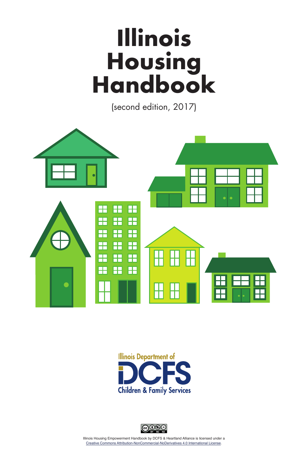# **Illinois Housing Handbook**

(second edition, 2017)







Illinois Housing Empowerment Handbook by DCFS & Heartland Alliance is licensed under a [Creative Commons Attribution-NonCommercial-NoDerivatives 4.0 International License](http://creativecommons.org/licenses/by-nc-nd/4.0/).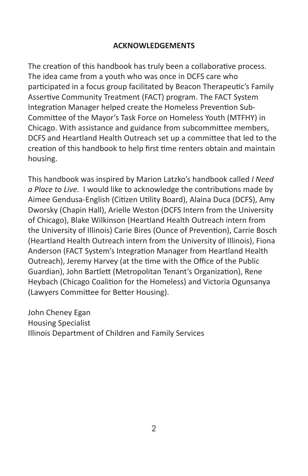#### **ACKNOWLEDGEMENTS**

The creation of this handbook has truly been a collaborative process. The idea came from a youth who was once in DCFS care who participated in a focus group facilitated by Beacon Therapeutic's Family Assertive Community Treatment (FACT) program. The FACT System Integration Manager helped create the Homeless Prevention Sub-Committee of the Mayor's Task Force on Homeless Youth (MTFHY) in Chicago. With assistance and guidance from subcommittee members, DCFS and Heartland Health Outreach set up a committee that led to the creation of this handbook to help first time renters obtain and maintain housing.

This handbook was inspired by Marion Latzko's handbook called *I Need a Place to Live*. I would like to acknowledge the contributions made by Aimee Gendusa-English (Citizen Utility Board), Alaina Duca (DCFS), Amy Dworsky (Chapin Hall), Arielle Weston (DCFS Intern from the University of Chicago), Blake Wilkinson (Heartland Health Outreach intern from the University of Illinois) Carie Bires (Ounce of Prevention), Carrie Bosch (Heartland Health Outreach intern from the University of Illinois), Fiona Anderson (FACT System's Integration Manager from Heartland Health Outreach), Jeremy Harvey (at the time with the Office of the Public Guardian), John Bartlett (Metropolitan Tenant's Organization), Rene Heybach (Chicago Coalition for the Homeless) and Victoria Ogunsanya (Lawyers Committee for Better Housing).

John Cheney Egan Housing Specialist Illinois Department of Children and Family Services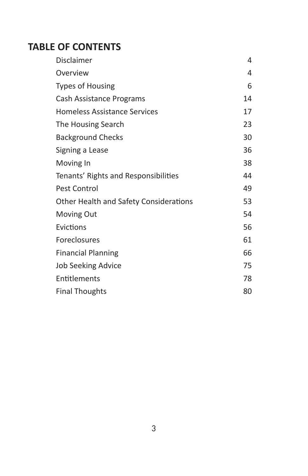# **TABLE OF CONTENTS**

| Disclaimer                             | 4  |
|----------------------------------------|----|
| Overview                               | 4  |
| <b>Types of Housing</b>                | 6  |
| Cash Assistance Programs               | 14 |
| <b>Homeless Assistance Services</b>    | 17 |
| The Housing Search                     | 23 |
| <b>Background Checks</b>               | 30 |
| Signing a Lease                        | 36 |
| Moving In                              | 38 |
| Tenants' Rights and Responsibilities   | 44 |
| Pest Control                           | 49 |
| Other Health and Safety Considerations | 53 |
| Moving Out                             | 54 |
| Evictions                              | 56 |
| Foreclosures                           | 61 |
| <b>Financial Planning</b>              | 66 |
| <b>Job Seeking Advice</b>              | 75 |
| Entitlements                           | 78 |
| <b>Final Thoughts</b>                  | 80 |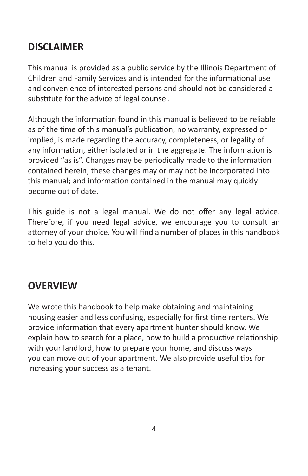# **DISCLAIMER**

This manual is provided as a public service by the Illinois Department of Children and Family Services and is intended for the informational use and convenience of interested persons and should not be considered a substitute for the advice of legal counsel.

Although the information found in this manual is believed to be reliable as of the time of this manual's publication, no warranty, expressed or implied, is made regarding the accuracy, completeness, or legality of any information, either isolated or in the aggregate. The information is provided "as is". Changes may be periodically made to the information contained herein; these changes may or may not be incorporated into this manual; and information contained in the manual may quickly become out of date.

This guide is not a legal manual. We do not offer any legal advice. Therefore, if you need legal advice, we encourage you to consult an attorney of your choice. You will find a number of places in this handbook to help you do this.

# **OVERVIEW**

We wrote this handbook to help make obtaining and maintaining housing easier and less confusing, especially for first time renters. We provide information that every apartment hunter should know. We explain how to search for a place, how to build a productive relationship with your landlord, how to prepare your home, and discuss ways you can move out of your apartment. We also provide useful tips for increasing your success as a tenant.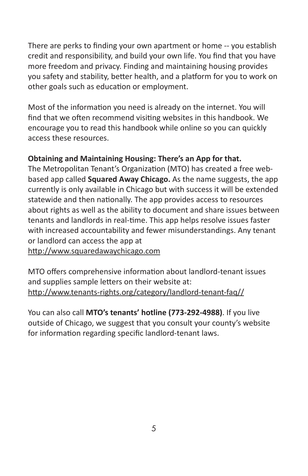There are perks to finding your own apartment or home -- you establish credit and responsibility, and build your own life. You find that you have more freedom and privacy. Finding and maintaining housing provides you safety and stability, better health, and a platform for you to work on other goals such as education or employment.

Most of the information you need is already on the internet. You will find that we often recommend visiting websites in this handbook. We encourage you to read this handbook while online so you can quickly access these resources.

#### **Obtaining and Maintaining Housing: There's an App for that.**

The Metropolitan Tenant's Organization (MTO) has created a free webbased app called **Squared Away Chicago.** As the name suggests, the app currently is only available in Chicago but with success it will be extended statewide and then nationally. The app provides access to resources about rights as well as the ability to document and share issues between tenants and landlords in real-time. This app helps resolve issues faster with increased accountability and fewer misunderstandings. Any tenant or landlord can access the app at

<http://www.squaredawaychicago.com>

MTO offers comprehensive information about landlord-tenant issues and supplies sample letters on their website at: <http://www.tenants-rights.org/category/landlord-tenant-faq//>

You can also call **MTO's tenants' hotline (773-292-4988)**. If you live outside of Chicago, we suggest that you consult your county's website for information regarding specific landlord-tenant laws.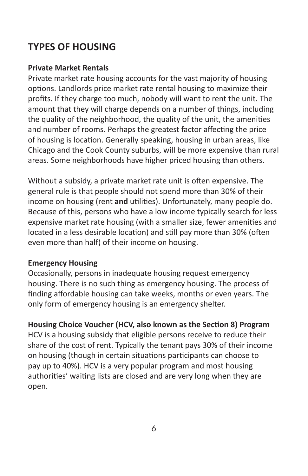# **TYPES OF HOUSING**

#### **Private Market Rentals**

Private market rate housing accounts for the vast majority of housing options. Landlords price market rate rental housing to maximize their profits. If they charge too much, nobody will want to rent the unit. The amount that they will charge depends on a number of things, including the quality of the neighborhood, the quality of the unit, the amenities and number of rooms. Perhaps the greatest factor affecting the price of housing is location. Generally speaking, housing in urban areas, like Chicago and the Cook County suburbs, will be more expensive than rural areas. Some neighborhoods have higher priced housing than others.

Without a subsidy, a private market rate unit is often expensive. The general rule is that people should not spend more than 30% of their income on housing (rent **and** utilities). Unfortunately, many people do. Because of this, persons who have a low income typically search for less expensive market rate housing (with a smaller size, fewer amenities and located in a less desirable location) and still pay more than 30% (often even more than half) of their income on housing.

#### **Emergency Housing**

Occasionally, persons in inadequate housing request emergency housing. There is no such thing as emergency housing. The process of finding affordable housing can take weeks, months or even years. The only form of emergency housing is an emergency shelter.

**Housing Choice Voucher (HCV, also known as the Section 8) Program** HCV is a housing subsidy that eligible persons receive to reduce their share of the cost of rent. Typically the tenant pays 30% of their income on housing (though in certain situations participants can choose to pay up to 40%). HCV is a very popular program and most housing authorities' waiting lists are closed and are very long when they are open.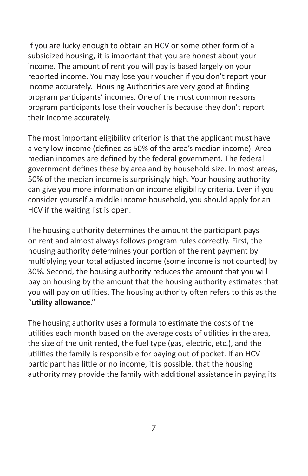If you are lucky enough to obtain an HCV or some other form of a subsidized housing, it is important that you are honest about your income. The amount of rent you will pay is based largely on your reported income. You may lose your voucher if you don't report your income accurately. Housing Authorities are very good at finding program participants' incomes. One of the most common reasons program participants lose their voucher is because they don't report their income accurately.

The most important eligibility criterion is that the applicant must have a very low income (defined as 50% of the area's median income). Area median incomes are defined by the federal government. The federal government defines these by area and by household size. In most areas, 50% of the median income is surprisingly high. Your housing authority can give you more information on income eligibility criteria. Even if you consider yourself a middle income household, you should apply for an HCV if the waiting list is open.

The housing authority determines the amount the participant pays on rent and almost always follows program rules correctly. First, the housing authority determines your portion of the rent payment by multiplying your total adjusted income (some income is not counted) by 30%. Second, the housing authority reduces the amount that you will pay on housing by the amount that the housing authority estimates that you will pay on utilities. The housing authority often refers to this as the "**utility allowance**."

The housing authority uses a formula to estimate the costs of the utilities each month based on the average costs of utilities in the area, the size of the unit rented, the fuel type (gas, electric, etc.), and the utilities the family is responsible for paying out of pocket. If an HCV participant has little or no income, it is possible, that the housing authority may provide the family with additional assistance in paying its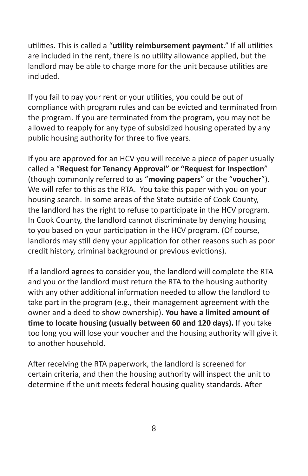utilities. This is called a "**utility reimbursement payment**." If all utilities are included in the rent, there is no utility allowance applied, but the landlord may be able to charge more for the unit because utilities are included.

If you fail to pay your rent or your utilities, you could be out of compliance with program rules and can be evicted and terminated from the program. If you are terminated from the program, you may not be allowed to reapply for any type of subsidized housing operated by any public housing authority for three to five years.

If you are approved for an HCV you will receive a piece of paper usually called a "**Request for Tenancy Approval" or "Request for Inspection**" (though commonly referred to as "**moving papers**" or the "**voucher**"). We will refer to this as the RTA. You take this paper with you on your housing search. In some areas of the State outside of Cook County, the landlord has the right to refuse to participate in the HCV program. In Cook County, the landlord cannot discriminate by denying housing to you based on your participation in the HCV program. (Of course, landlords may still deny your application for other reasons such as poor credit history, criminal background or previous evictions).

If a landlord agrees to consider you, the landlord will complete the RTA and you or the landlord must return the RTA to the housing authority with any other additional information needed to allow the landlord to take part in the program (e.g., their management agreement with the owner and a deed to show ownership). **You have a limited amount of time to locate housing (usually between 60 and 120 days).** If you take too long you will lose your voucher and the housing authority will give it to another household.

After receiving the RTA paperwork, the landlord is screened for certain criteria, and then the housing authority will inspect the unit to determine if the unit meets federal housing quality standards. After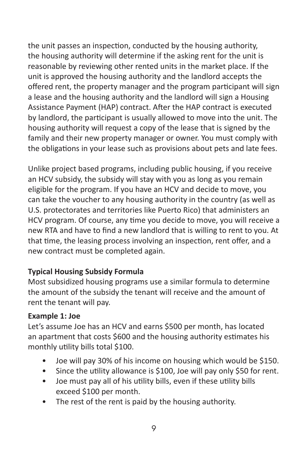the unit passes an inspection, conducted by the housing authority, the housing authority will determine if the asking rent for the unit is reasonable by reviewing other rented units in the market place. If the unit is approved the housing authority and the landlord accepts the offered rent, the property manager and the program participant will sign a lease and the housing authority and the landlord will sign a Housing Assistance Payment (HAP) contract. After the HAP contract is executed by landlord, the participant is usually allowed to move into the unit. The housing authority will request a copy of the lease that is signed by the family and their new property manager or owner. You must comply with the obligations in your lease such as provisions about pets and late fees.

Unlike project based programs, including public housing, if you receive an HCV subsidy, the subsidy will stay with you as long as you remain eligible for the program. If you have an HCV and decide to move, you can take the voucher to any housing authority in the country (as well as U.S. protectorates and territories like Puerto Rico) that administers an HCV program. Of course, any time you decide to move, you will receive a new RTA and have to find a new landlord that is willing to rent to you. At that time, the leasing process involving an inspection, rent offer, and a new contract must be completed again.

#### **Typical Housing Subsidy Formula**

Most subsidized housing programs use a similar formula to determine the amount of the subsidy the tenant will receive and the amount of rent the tenant will pay.

#### **Example 1: Joe**

Let's assume Joe has an HCV and earns \$500 per month, has located an apartment that costs \$600 and the housing authority estimates his monthly utility bills total \$100.

- Joe will pay 30% of his income on housing which would be \$150.
- Since the utility allowance is \$100, Joe will pay only \$50 for rent.
- Joe must pay all of his utility bills, even if these utility bills exceed \$100 per month.
- The rest of the rent is paid by the housing authority.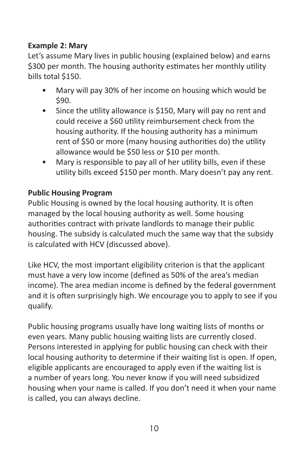## **Example 2: Mary**

Let's assume Mary lives in public housing (explained below) and earns \$300 per month. The housing authority estimates her monthly utility bills total \$150.

- Mary will pay 30% of her income on housing which would be \$90.
- Since the utility allowance is \$150, Mary will pay no rent and could receive a \$60 utility reimbursement check from the housing authority. If the housing authority has a minimum rent of \$50 or more (many housing authorities do) the utility allowance would be \$50 less or \$10 per month.
- Mary is responsible to pay all of her utility bills, even if these utility bills exceed \$150 per month. Mary doesn't pay any rent.

## **Public Housing Program**

Public Housing is owned by the local housing authority. It is often managed by the local housing authority as well. Some housing authorities contract with private landlords to manage their public housing. The subsidy is calculated much the same way that the subsidy is calculated with HCV (discussed above).

Like HCV, the most important eligibility criterion is that the applicant must have a very low income (defined as 50% of the area's median income). The area median income is defined by the federal government and it is often surprisingly high. We encourage you to apply to see if you qualify.

Public housing programs usually have long waiting lists of months or even years. Many public housing waiting lists are currently closed. Persons interested in applying for public housing can check with their local housing authority to determine if their waiting list is open. If open, eligible applicants are encouraged to apply even if the waiting list is a number of years long. You never know if you will need subsidized housing when your name is called. If you don't need it when your name is called, you can always decline.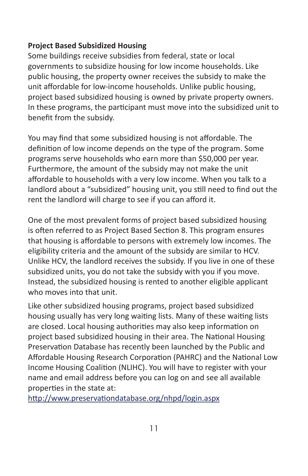## **Project Based Subsidized Housing**

Some buildings receive subsidies from federal, state or local governments to subsidize housing for low income households. Like public housing, the property owner receives the subsidy to make the unit affordable for low-income households. Unlike public housing, project based subsidized housing is owned by private property owners. In these programs, the participant must move into the subsidized unit to benefit from the subsidy.

You may find that some subsidized housing is not affordable. The definition of low income depends on the type of the program. Some programs serve households who earn more than \$50,000 per year. Furthermore, the amount of the subsidy may not make the unit affordable to households with a very low income. When you talk to a landlord about a "subsidized" housing unit, you still need to find out the rent the landlord will charge to see if you can afford it.

One of the most prevalent forms of project based subsidized housing is often referred to as Project Based Section 8. This program ensures that housing is affordable to persons with extremely low incomes. The eligibility criteria and the amount of the subsidy are similar to HCV. Unlike HCV, the landlord receives the subsidy. If you live in one of these subsidized units, you do not take the subsidy with you if you move. Instead, the subsidized housing is rented to another eligible applicant who moves into that unit.

Like other subsidized housing programs, project based subsidized housing usually has very long waiting lists. Many of these waiting lists are closed. Local housing authorities may also keep information on project based subsidized housing in their area. The National Housing Preservation Database has recently been launched by the Public and Affordable Housing Research Corporation (PAHRC) and the National Low Income Housing Coalition (NLIHC). You will have to register with your name and email address before you can log on and see all available properties in the state at:

<http://www.preservationdatabase.org/nhpd/login.aspx>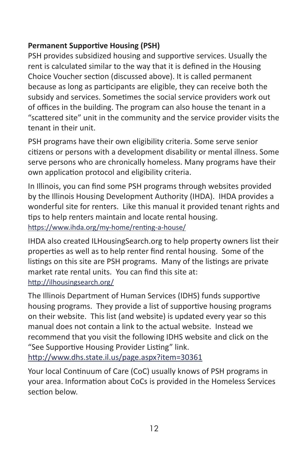# **Permanent Supportive Housing (PSH)**

PSH provides subsidized housing and supportive services. Usually the rent is calculated similar to the way that it is defined in the Housing Choice Voucher section (discussed above). It is called permanent because as long as participants are eligible, they can receive both the subsidy and services. Sometimes the social service providers work out of offices in the building. The program can also house the tenant in a "scattered site" unit in the community and the service provider visits the tenant in their unit.

PSH programs have their own eligibility criteria. Some serve senior citizens or persons with a development disability or mental illness. Some serve persons who are chronically homeless. Many programs have their own application protocol and eligibility criteria.

In Illinois, you can find some PSH programs through websites provided by the Illinois Housing Development Authority (IHDA). IHDA provides a wonderful site for renters. Like this manual it provided tenant rights and tips to help renters maintain and locate rental housing. <https://www.ihda.org/my-home/renting-a-house/>

IHDA also created ILHousingSearch.org to help property owners list their properties as well as to help renter find rental housing. Some of the listings on this site are PSH programs. Many of the listings are private market rate rental units. You can find this site at: <http://ilhousingsearch.org/>

The Illinois Department of Human Services (IDHS) funds supportive housing programs. They provide a list of supportive housing programs on their website. This list (and website) is updated every year so this manual does not contain a link to the actual website. Instead we recommend that you visit the following IDHS website and click on the "See Supportive Housing Provider Listing" link. <http://www.dhs.state.il.us/page.aspx?item=30361>

Your local Continuum of Care (CoC) usually knows of PSH programs in your area. Information about CoCs is provided in the Homeless Services section below.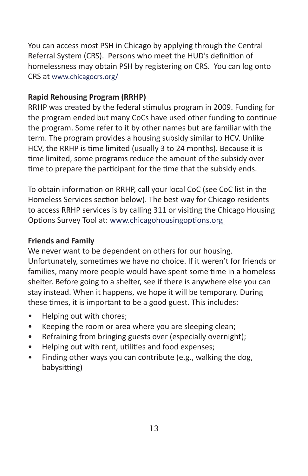You can access most PSH in Chicago by applying through the Central Referral System (CRS). Persons who meet the HUD's definition of homelessness may obtain PSH by registering on CRS. You can log onto CRS at [www.chicagocrs.org/](http://www.chicagocrs.org/)

#### **Rapid Rehousing Program (RRHP)**

RRHP was created by the federal stimulus program in 2009. Funding for the program ended but many CoCs have used other funding to continue the program. Some refer to it by other names but are familiar with the term. The program provides a housing subsidy similar to HCV. Unlike HCV, the RRHP is time limited (usually 3 to 24 months). Because it is time limited, some programs reduce the amount of the subsidy over time to prepare the participant for the time that the subsidy ends.

To obtain information on RRHP, call your local CoC (see CoC list in the Homeless Services section below). The best way for Chicago residents to access RRHP services is by calling 311 or visiting the Chicago Housing Options Survey Tool at: www.chicagohousingoptions.org

#### **Friends and Family**

We never want to be dependent on others for our housing. Unfortunately, sometimes we have no choice. If it weren't for friends or families, many more people would have spent some time in a homeless shelter. Before going to a shelter, see if there is anywhere else you can stay instead. When it happens, we hope it will be temporary. During these times, it is important to be a good guest. This includes:

- Helping out with chores;
- Keeping the room or area where you are sleeping clean;
- Refraining from bringing guests over (especially overnight);
- Helping out with rent, utilities and food expenses;
- Finding other ways you can contribute (e.g., walking the dog, babysitting)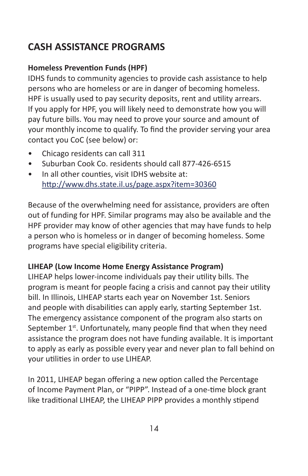# **CASH ASSISTANCE PROGRAMS**

# **Homeless Prevention Funds (HPF)**

IDHS funds to community agencies to provide cash assistance to help persons who are homeless or are in danger of becoming homeless. HPF is usually used to pay security deposits, rent and utility arrears. If you apply for HPF, you will likely need to demonstrate how you will pay future bills. You may need to prove your source and amount of your monthly income to qualify. To find the provider serving your area contact you CoC (see below) or:

- Chicago residents can call 311
- Suburban Cook Co. residents should call 877-426-6515
- In all other counties, visit IDHS website at: <http://www.dhs.state.il.us/page.aspx?item=30360>

Because of the overwhelming need for assistance, providers are often out of funding for HPF. Similar programs may also be available and the HPF provider may know of other agencies that may have funds to help a person who is homeless or in danger of becoming homeless. Some programs have special eligibility criteria.

# **LIHEAP (Low Income Home Energy Assistance Program)**

LIHEAP helps lower-income individuals pay their utility bills. The program is meant for people facing a crisis and cannot pay their utility bill. In Illinois, LIHEAP starts each year on November 1st. Seniors and people with disabilities can apply early, starting September 1st. The emergency assistance component of the program also starts on September  $1<sup>st</sup>$ . Unfortunately, many people find that when they need assistance the program does not have funding available. It is important to apply as early as possible every year and never plan to fall behind on your utilities in order to use LIHEAP.

In 2011, LIHEAP began offering a new option called the Percentage of Income Payment Plan, or "PIPP". Instead of a one-time block grant like traditional LIHEAP, the LIHEAP PIPP provides a monthly stipend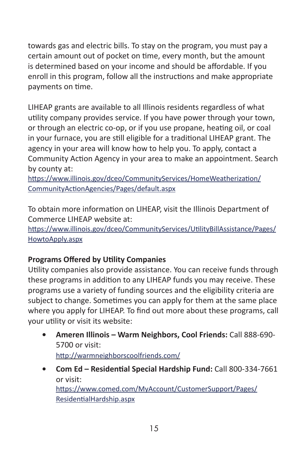towards gas and electric bills. To stay on the program, you must pay a certain amount out of pocket on time, every month, but the amount is determined based on your income and should be affordable. If you enroll in this program, follow all the instructions and make appropriate payments on time.

LIHEAP grants are available to all Illinois residents regardless of what utility company provides service. If you have power through your town, or through an electric co-op, or if you use propane, heating oil, or coal in your furnace, you are still eligible for a traditional LIHEAP grant. The agency in your area will know how to help you. To apply, contact a Community Action Agency in your area to make an appointment. Search by county at:

[https://www.illinois.gov/dceo/CommunityServices/HomeWeatherization/](https://www.illinois.gov/dceo/CommunityServices/HomeWeatherization/CommunityActionAgencies/Pages/default.aspx) [CommunityActionAgencies/Pages/default.aspx](https://www.illinois.gov/dceo/CommunityServices/HomeWeatherization/CommunityActionAgencies/Pages/default.aspx)

To obtain more information on LIHEAP, visit the Illinois Department of Commerce LIHEAP website at:

[https://www.illinois.gov/dceo/CommunityServices/UtilityBillAssistance/Pages/](https://www.illinois.gov/dceo/CommunityServices/UtilityBillAssistance/Pages/HowtoApply.aspx) [HowtoApply.aspx](https://www.illinois.gov/dceo/CommunityServices/UtilityBillAssistance/Pages/HowtoApply.aspx)

# **Programs Offered by Utility Companies**

Utility companies also provide assistance. You can receive funds through these programs in addition to any LIHEAP funds you may receive. These programs use a variety of funding sources and the eligibility criteria are subject to change. Sometimes you can apply for them at the same place where you apply for LIHEAP. To find out more about these programs, call your utility or visit its website:

- **• Ameren Illinois Warm Neighbors, Cool Friends:** Call 888-690- 5700 or visit: <http://warmneighborscoolfriends.com/>
- **• Com Ed Residential Special Hardship Fund:** Call 800-334-7661 or visit: [https://www.comed.com/MyAccount/CustomerSupport/Pages/](https://www.comed.com/MyAccount/CustomerSupport/Pages/ResidentialHardship.aspx) [ResidentialHardship.aspx](https://www.comed.com/MyAccount/CustomerSupport/Pages/ResidentialHardship.aspx)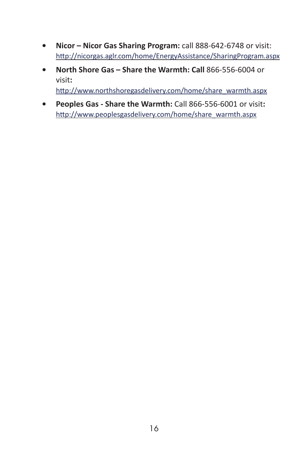- **• Nicor Nicor Gas Sharing Program:** call 888-642-6748 or visit: <http://nicorgas.aglr.com/home/EnergyAssistance/SharingProgram.aspx>
- **• North Shore Gas Share the Warmth: Call** 866-556-6004 or visit**:** [http://www.northshoregasdelivery.com/home/share\\_warmth.aspx](http://www.northshoregasdelivery.com/home/share_warmth.aspx)
- **• Peoples Gas Share the Warmth:** Call 866-556-6001 or visit**:** [http://www.peoplesgasdelivery.com/home/share\\_warmth.aspx](http://www.peoplesgasdelivery.com/home/share_warmth.aspx)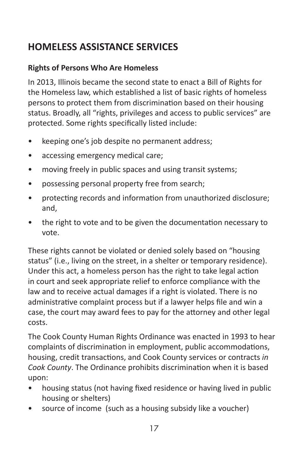# **HOMELESS ASSISTANCE SERVICES**

# **Rights of Persons Who Are Homeless**

In 2013, Illinois became the second state to enact a Bill of Rights for the Homeless law, which established a list of basic rights of homeless persons to protect them from discrimination based on their housing status. Broadly, all "rights, privileges and access to public services" are protected. Some rights specifically listed include:

- keeping one's job despite no permanent address;
- accessing emergency medical care;
- moving freely in public spaces and using transit systems;
- possessing personal property free from search;
- protecting records and information from unauthorized disclosure; and,
- the right to vote and to be given the documentation necessary to vote.

These rights cannot be violated or denied solely based on "housing status" (i.e., living on the street, in a shelter or temporary residence). Under this act, a homeless person has the right to take legal action in court and seek appropriate relief to enforce compliance with the law and to receive actual damages if a right is violated. There is no administrative complaint process but if a lawyer helps file and win a case, the court may award fees to pay for the attorney and other legal costs.

The Cook County Human Rights Ordinance was enacted in 1993 to hear complaints of discrimination in employment, public accommodations, housing, credit transactions, and Cook County services or contracts *in Cook County*. The Ordinance prohibits discrimination when it is based upon:

- housing status (not having fixed residence or having lived in public housing or shelters)
- source of income (such as a housing subsidy like a voucher)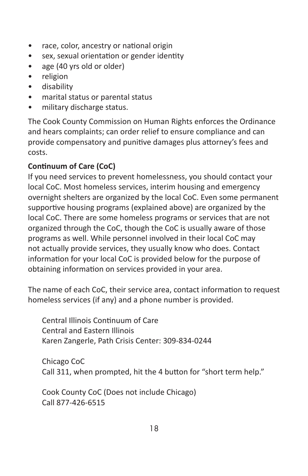- race, color, ancestry or national origin
- sex, sexual orientation or gender identity
- age (40 yrs old or older)
- religion
- disability
- marital status or parental status
- military discharge status.

The Cook County Commission on Human Rights enforces the Ordinance and hears complaints; can order relief to ensure compliance and can provide compensatory and punitive damages plus attorney's fees and costs.

# **Continuum of Care (CoC)**

If you need services to prevent homelessness, you should contact your local CoC. Most homeless services, interim housing and emergency overnight shelters are organized by the local CoC. Even some permanent supportive housing programs (explained above) are organized by the local CoC. There are some homeless programs or services that are not organized through the CoC, though the CoC is usually aware of those programs as well. While personnel involved in their local CoC may not actually provide services, they usually know who does. Contact information for your local CoC is provided below for the purpose of obtaining information on services provided in your area.

The name of each CoC, their service area, contact information to request homeless services (if any) and a phone number is provided.

Central Illinois Continuum of Care Central and Eastern Illinois Karen Zangerle, Path Crisis Center: 309-834-0244

Chicago CoC Call 311, when prompted, hit the 4 button for "short term help."

Cook County CoC (Does not include Chicago) Call 877-426-6515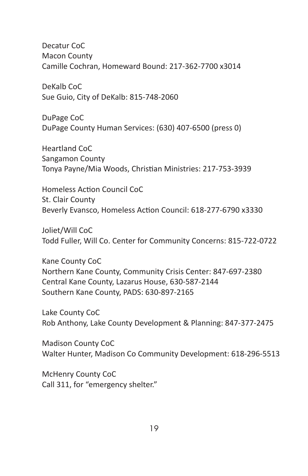Decatur CoC Macon County Camille Cochran, Homeward Bound: 217-362-7700 x3014

DeKalb CoC Sue Guio, City of DeKalb: 815-748-2060

DuPage CoC DuPage County Human Services: (630) 407-6500 (press 0)

Heartland CoC Sangamon County Tonya Payne/Mia Woods, Christian Ministries: 217-753-3939

Homeless Action Council CoC St. Clair County Beverly Evansco, Homeless Action Council: 618-277-6790 x3330

Joliet/Will CoC Todd Fuller, Will Co. Center for Community Concerns: 815-722-0722

Kane County CoC Northern Kane County, Community Crisis Center: 847-697-2380 Central Kane County, Lazarus House, 630-587-2144 Southern Kane County, PADS: 630-897-2165

Lake County CoC Rob Anthony, Lake County Development & Planning: 847-377-2475

Madison County CoC Walter Hunter, Madison Co Community Development: 618-296-5513

McHenry County CoC Call 311, for "emergency shelter."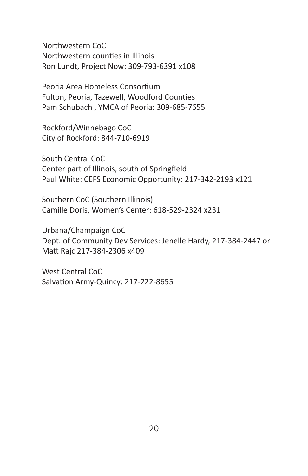Northwestern CoC Northwestern counties in Illinois Ron Lundt, Project Now: 309-793-6391 x108

Peoria Area Homeless Consortium Fulton, Peoria, Tazewell, Woodford Counties Pam Schubach , YMCA of Peoria: 309-685-7655

Rockford/Winnebago CoC City of Rockford: 844-710-6919

South Central CoC Center part of Illinois, south of Springfield Paul White: CEFS Economic Opportunity: 217-342-2193 x121

Southern CoC (Southern Illinois) Camille Doris, Women's Center: 618-529-2324 x231

Urbana/Champaign CoC Dept. of Community Dev Services: Jenelle Hardy, 217-384-2447 or Matt Rajc 217-384-2306 x409

West Central CoC Salvation Army-Quincy: 217-222-8655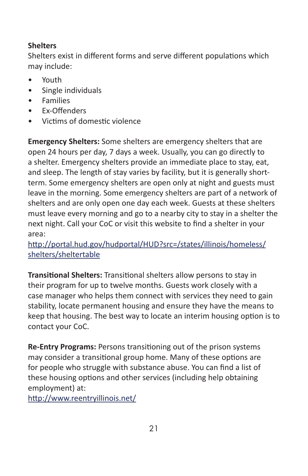# **Shelters**

Shelters exist in different forms and serve different populations which may include:

- Youth
- Single individuals
- Families
- Ex-Offenders
- Victims of domestic violence

**Emergency Shelters:** Some shelters are emergency shelters that are open 24 hours per day, 7 days a week. Usually, you can go directly to a shelter. Emergency shelters provide an immediate place to stay, eat, and sleep. The length of stay varies by facility, but it is generally shortterm. Some emergency shelters are open only at night and guests must leave in the morning. Some emergency shelters are part of a network of shelters and are only open one day each week. Guests at these shelters must leave every morning and go to a nearby city to stay in a shelter the next night. Call your CoC or visit this website to find a shelter in your area:

[http://portal.hud.gov/hudportal/HUD?src=/states/illinois/homeless/](http://portal.hud.gov/hudportal/HUD?src=/states/illinois/homeless/shelters/sheltertable) [shelters/sheltertable](http://portal.hud.gov/hudportal/HUD?src=/states/illinois/homeless/shelters/sheltertable)

**Transitional Shelters:** Transitional shelters allow persons to stay in their program for up to twelve months. Guests work closely with a case manager who helps them connect with services they need to gain stability, locate permanent housing and ensure they have the means to keep that housing. The best way to locate an interim housing option is to contact your CoC.

**Re-Entry Programs:** Persons transitioning out of the prison systems may consider a transitional group home. Many of these options are for people who struggle with substance abuse. You can find a list of these housing options and other services (including help obtaining employment) at:

<http://www.reentryillinois.net/>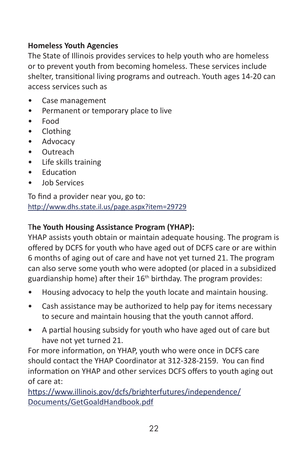# **Homeless Youth Agencies**

The State of Illinois provides services to help youth who are homeless or to prevent youth from becoming homeless. These services include shelter, transitional living programs and outreach. Youth ages 14-20 can access services such as

- Case management
- Permanent or temporary place to live
- Food
- Clothing
- Advocacy
- Outreach
- Life skills training
- Education
- Job Services

To find a provider near you, go to: <http://www.dhs.state.il.us/page.aspx?item=29729>

## T**he Youth Housing Assistance Program (YHAP):**

YHAP assists youth obtain or maintain adequate housing. The program is offered by DCFS for youth who have aged out of DCFS care or are within 6 months of aging out of care and have not yet turned 21. The program can also serve some youth who were adopted (or placed in a subsidized guardianship home) after their  $16<sup>th</sup>$  birthday. The program provides:

- Housing advocacy to help the youth locate and maintain housing.
- Cash assistance may be authorized to help pay for items necessary to secure and maintain housing that the youth cannot afford.
- A partial housing subsidy for youth who have aged out of care but have not yet turned 21.

For more information, on YHAP, youth who were once in DCFS care should contact the YHAP Coordinator at 312-328-2159. You can find information on YHAP and other services DCFS offers to youth aging out of care at:

[https://www.illinois.gov/dcfs/brighterfutures/independence/](https://www.illinois.gov/dcfs/brighterfutures/independence/Documents/GetGoaldHandbook.pdf) [Documents/GetGoaldHandbook.pdf](https://www.illinois.gov/dcfs/brighterfutures/independence/Documents/GetGoaldHandbook.pdf)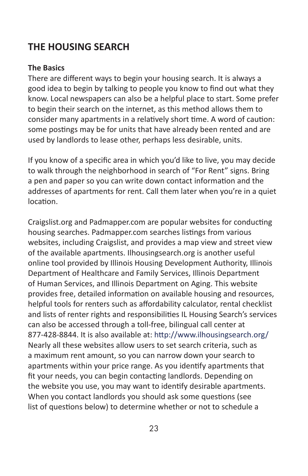# **THE HOUSING SEARCH**

#### **The Basics**

There are different ways to begin your housing search. It is always a good idea to begin by talking to people you know to find out what they know. Local newspapers can also be a helpful place to start. Some prefer to begin their search on the internet, as this method allows them to consider many apartments in a relatively short time. A word of caution: some postings may be for units that have already been rented and are used by landlords to lease other, perhaps less desirable, units.

If you know of a specific area in which you'd like to live, you may decide to walk through the neighborhood in search of "For Rent" signs. Bring a pen and paper so you can write down contact information and the addresses of apartments for rent. Call them later when you're in a quiet location.

Craigslist.org and Padmapper.com are popular websites for conducting housing searches. Padmapper.com searches listings from various websites, including Craigslist, and provides a map view and street view of the available apartments. Ilhousingsearch.org is another useful online tool provided by Illinois Housing Development Authority, Illinois Department of Healthcare and Family Services, Illinois Department of Human Services, and Illinois Department on Aging. This website provides free, detailed information on available housing and resources, helpful tools for renters such as affordability calculator, rental checklist and lists of renter rights and responsibilities IL Housing Search's services can also be accessed through a toll-free, bilingual call center at 877-428-8844. It is also available at: http://www.ilhousingsearch.org/ Nearly all these websites allow users to set search criteria, such as a maximum rent amount, so you can narrow down your search to apartments within your price range. As you identify apartments that fit your needs, you can begin contacting landlords. Depending on the website you use, you may want to identify desirable apartments. When you contact landlords you should ask some questions (see list of questions below) to determine whether or not to schedule a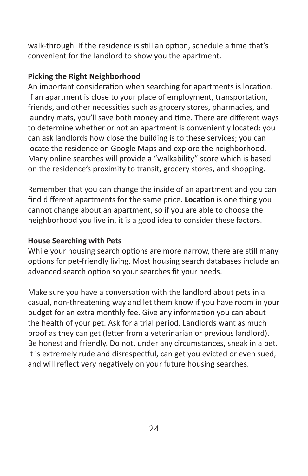walk-through. If the residence is still an option, schedule a time that's convenient for the landlord to show you the apartment.

# **Picking the Right Neighborhood**

An important consideration when searching for apartments is location. If an apartment is close to your place of employment, transportation, friends, and other necessities such as grocery stores, pharmacies, and laundry mats, you'll save both money and time. There are different ways to determine whether or not an apartment is conveniently located: you can ask landlords how close the building is to these services; you can locate the residence on Google Maps and explore the neighborhood. Many online searches will provide a "walkability" score which is based on the residence's proximity to transit, grocery stores, and shopping.

Remember that you can change the inside of an apartment and you can find different apartments for the same price. **Location** is one thing you cannot change about an apartment, so if you are able to choose the neighborhood you live in, it is a good idea to consider these factors.

#### **House Searching with Pets**

While your housing search options are more narrow, there are still many options for pet-friendly living. Most housing search databases include an advanced search option so your searches fit your needs.

Make sure you have a conversation with the landlord about pets in a casual, non-threatening way and let them know if you have room in your budget for an extra monthly fee. Give any information you can about the health of your pet. Ask for a trial period. Landlords want as much proof as they can get (letter from a veterinarian or previous landlord). Be honest and friendly. Do not, under any circumstances, sneak in a pet. It is extremely rude and disrespectful, can get you evicted or even sued, and will reflect very negatively on your future housing searches.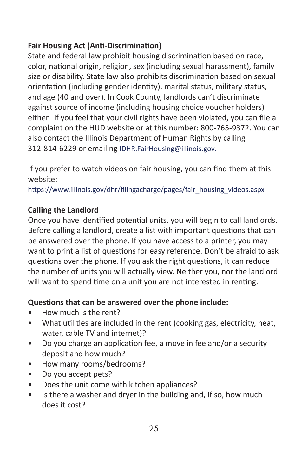# **Fair Housing Act (Anti-Discrimination)**

State and federal law prohibit housing discrimination based on race, color, national origin, religion, sex (including sexual harassment), family size or disability. State law also prohibits discrimination based on sexual orientation (including gender identity), marital status, military status, and age (40 and over). In Cook County, landlords can't discriminate against source of income (including housing choice voucher holders) either. If you feel that your civil rights have been violated, you can file a complaint on the HUD website or at this number: 800-765-9372. You can also contact the Illinois Department of Human Rights by calling 312-814-6229 or emailing [IDHR.FairHousing@illinois.gov](mailto:IDHR.FairHousing@illinois.gov).

If you prefer to watch videos on fair housing, you can find them at this website:

[https://www.illinois.gov/dhr/filingacharge/pages/fair\\_housing\\_videos.aspx](https://www.illinois.gov/dhr/filingacharge/pages/fair_housing_videos.aspx)

#### **Calling the Landlord**

Once you have identified potential units, you will begin to call landlords. Before calling a landlord, create a list with important questions that can be answered over the phone. If you have access to a printer, you may want to print a list of questions for easy reference. Don't be afraid to ask questions over the phone. If you ask the right questions, it can reduce the number of units you will actually view. Neither you, nor the landlord will want to spend time on a unit you are not interested in renting.

# **Questions that can be answered over the phone include:**

- How much is the rent?
- What utilities are included in the rent (cooking gas, electricity, heat, water, cable TV and internet)?
- Do you charge an application fee, a move in fee and/or a security deposit and how much?
- How many rooms/bedrooms?
- Do you accept pets?
- Does the unit come with kitchen appliances?
- Is there a washer and dryer in the building and, if so, how much does it cost?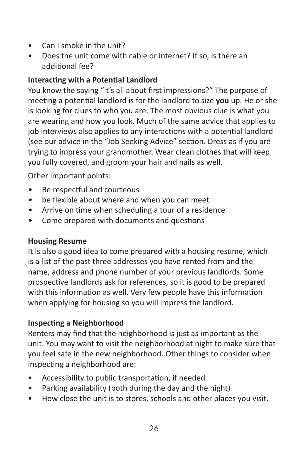- Can I smoke in the unit?
- Does the unit come with cable or internet? If so, is there an additional fee?

# **Interacting with a Potential Landlord**

You know the saying "it's all about first impressions?" The purpose of meeting a potential landlord is for the landlord to size **you** up. He or she is looking for clues to who you are. The most obvious clue is what you are wearing and how you look. Much of the same advice that applies to job interviews also applies to any interactions with a potential landlord (see our advice in the "Job Seeking Advice" section. Dress as if you are trying to impress your grandmother. Wear clean clothes that will keep you fully covered, and groom your hair and nails as well.

Other important points:

- Be respectful and courteous
- be flexible about where and when you can meet
- Arrive on time when scheduling a tour of a residence
- Come prepared with documents and questions

#### **Housing Resume**

It is also a good idea to come prepared with a housing resume, which is a list of the past three addresses you have rented from and the name, address and phone number of your previous landlords. Some prospective landlords ask for references, so it is good to be prepared with this information as well. Very few people have this information when applying for housing so you will impress the landlord.

# **Inspecting a Neighborhood**

Renters may find that the neighborhood is just as important as the unit. You may want to visit the neighborhood at night to make sure that you feel safe in the new neighborhood. Other things to consider when inspecting a neighborhood are:

- Accessibility to public transportation, if needed
- Parking availability (both during the day and the night)
- How close the unit is to stores, schools and other places you visit.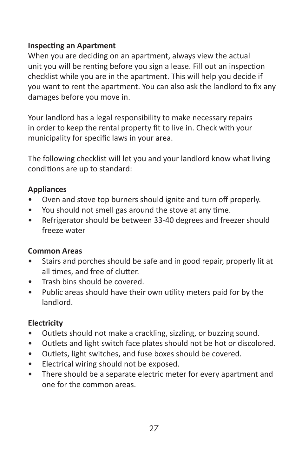### **Inspecting an Apartment**

When you are deciding on an apartment, always view the actual unit you will be renting before you sign a lease. Fill out an inspection checklist while you are in the apartment. This will help you decide if you want to rent the apartment. You can also ask the landlord to fix any damages before you move in.

Your landlord has a legal responsibility to make necessary repairs in order to keep the rental property fit to live in. Check with your municipality for specific laws in your area.

The following checklist will let you and your landlord know what living conditions are up to standard:

## **Appliances**

- Oven and stove top burners should ignite and turn off properly.
- You should not smell gas around the stove at any time.
- Refrigerator should be between 33-40 degrees and freezer should freeze water

#### **Common Areas**

- Stairs and porches should be safe and in good repair, properly lit at all times, and free of clutter.
- Trash bins should be covered.
- Public areas should have their own utility meters paid for by the landlord.

# **Electricity**

- Outlets should not make a crackling, sizzling, or buzzing sound.
- Outlets and light switch face plates should not be hot or discolored.
- Outlets, light switches, and fuse boxes should be covered.
- Electrical wiring should not be exposed.
- There should be a separate electric meter for every apartment and one for the common areas.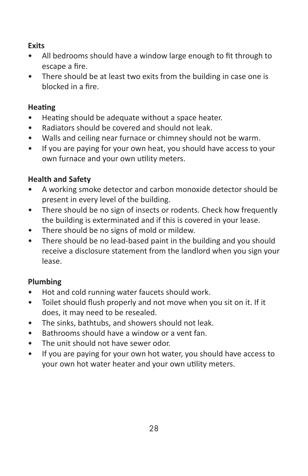### **Exits**

- All bedrooms should have a window large enough to fit through to escape a fire.
- There should be at least two exits from the building in case one is blocked in a fire.

## **Heating**

- Heating should be adequate without a space heater.
- Radiators should be covered and should not leak.
- Walls and ceiling near furnace or chimney should not be warm.
- If you are paying for your own heat, you should have access to your own furnace and your own utility meters.

# **Health and Safety**

- A working smoke detector and carbon monoxide detector should be present in every level of the building.
- There should be no sign of insects or rodents. Check how frequently the building is exterminated and if this is covered in your lease.
- There should be no signs of mold or mildew.
- There should be no lead-based paint in the building and you should receive a disclosure statement from the landlord when you sign your lease.

# **Plumbing**

- Hot and cold running water faucets should work.
- Toilet should flush properly and not move when you sit on it. If it does, it may need to be resealed.
- The sinks, bathtubs, and showers should not leak.
- Bathrooms should have a window or a vent fan.
- The unit should not have sewer odor.
- If you are paying for your own hot water, you should have access to your own hot water heater and your own utility meters.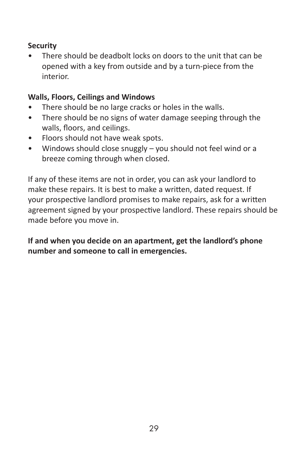## **Security**

There should be deadbolt locks on doors to the unit that can be opened with a key from outside and by a turn-piece from the interior.

## **Walls, Floors, Ceilings and Windows**

- There should be no large cracks or holes in the walls.
- There should be no signs of water damage seeping through the walls, floors, and ceilings.
- Floors should not have weak spots.
- Windows should close snuggly you should not feel wind or a breeze coming through when closed.

If any of these items are not in order, you can ask your landlord to make these repairs. It is best to make a written, dated request. If your prospective landlord promises to make repairs, ask for a written agreement signed by your prospective landlord. These repairs should be made before you move in.

**If and when you decide on an apartment, get the landlord's phone number and someone to call in emergencies.**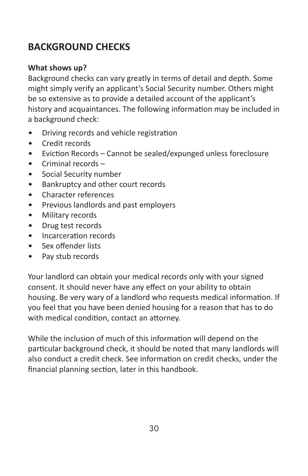# **BACKGROUND CHECKS**

#### **What shows up?**

Background checks can vary greatly in terms of detail and depth. Some might simply verify an applicant's Social Security number. Others might be so extensive as to provide a detailed account of the applicant's history and acquaintances. The following information may be included in a background check:

- Driving records and vehicle registration
- Credit records
- Eviction Records Cannot be sealed/expunged unless foreclosure
- Criminal records –
- Social Security number
- Bankruptcy and other court records
- Character references
- Previous landlords and past employers
- Military records
- Drug test records
- Incarceration records
- Sex offender lists
- Pay stub records

Your landlord can obtain your medical records only with your signed consent. It should never have any effect on your ability to obtain housing. Be very wary of a landlord who requests medical information. If you feel that you have been denied housing for a reason that has to do with medical condition, contact an attorney.

While the inclusion of much of this information will depend on the particular background check, it should be noted that many landlords will also conduct a credit check. See information on credit checks, under the financial planning section, later in this handbook.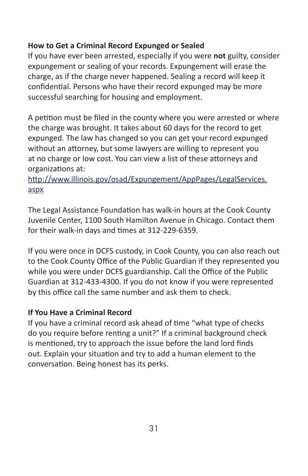#### **How to Get a Criminal Record Expunged or Sealed**

If you have ever been arrested, especially if you were **not** guilty, consider expungement or sealing of your records. Expungement will erase the charge, as if the charge never happened. Sealing a record will keep it confidential. Persons who have their record expunged may be more successful searching for housing and employment.

A petition must be filed in the county where you were arrested or where the charge was brought. It takes about 60 days for the record to get expunged. The law has changed so you can get your record expunged without an attorney, but some lawyers are willing to represent you at no charge or low cost. You can view a list of these attorneys and organizations at:

### [http://www.illinois.gov/osad/Expungement/AppPages/LegalServices.](http://www.illinois.gov/osad/Expungement/AppPages/LegalServices.aspx) [aspx](http://www.illinois.gov/osad/Expungement/AppPages/LegalServices.aspx)

The Legal Assistance Foundation has walk-in hours at the Cook County Juvenile Center, 1100 South Hamilton Avenue in Chicago. Contact them for their walk-in days and times at 312-229-6359.

If you were once in DCFS custody, in Cook County, you can also reach out to the Cook County Office of the Public Guardian if they represented you while you were under DCFS guardianship. Call the Office of the Public Guardian at 312-433-4300. If you do not know if you were represented by this office call the same number and ask them to check.

#### **If You Have a Criminal Record**

If you have a criminal record ask ahead of time "what type of checks do you require before renting a unit?" If a criminal background check is mentioned, try to approach the issue before the land lord finds out. Explain your situation and try to add a human element to the conversation. Being honest has its perks.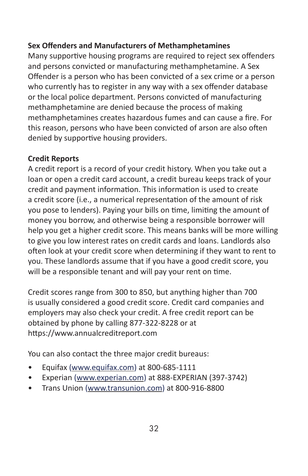#### **Sex Offenders and Manufacturers of Methamphetamines**

Many supportive housing programs are required to reject sex offenders and persons convicted or manufacturing methamphetamine. A Sex Offender is a person who has been convicted of a sex crime or a person who currently has to register in any way with a sex offender database or the local police department. Persons convicted of manufacturing methamphetamine are denied because the process of making methamphetamines creates hazardous fumes and can cause a fire. For this reason, persons who have been convicted of arson are also often denied by supportive housing providers.

#### **Credit Reports**

A credit report is a record of your credit history. When you take out a loan or open a credit card account, a credit bureau keeps track of your credit and payment information. This information is used to create a credit score (i.e., a numerical representation of the amount of risk you pose to lenders). Paying your bills on time, limiting the amount of money you borrow, and otherwise being a responsible borrower will help you get a higher credit score. This means banks will be more willing to give you low interest rates on credit cards and loans. Landlords also often look at your credit score when determining if they want to rent to you. These landlords assume that if you have a good credit score, you will be a responsible tenant and will pay your rent on time.

Credit scores range from 300 to 850, but anything higher than 700 is usually considered a good credit score. Credit card companies and employers may also check your credit. A free credit report can be obtained by phone by calling 877-322-8228 or at https:/[/www.annualcreditreport.com](http://www.annualcreditreport.com/)

You can also contact the three major credit bureaus:

- Equifax [\(www.equifax.com](http://www.equifax.com)) at 800-685-1111
- Experian ([www.experian.com](http://www.experian.com)) at 888-EXPERIAN (397-3742)
- Trans Union ([www.transunion.com\)](http://www.transunion.com) at 800-916-8800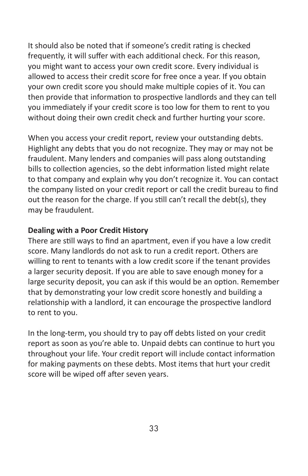It should also be noted that if someone's credit rating is checked frequently, it will suffer with each additional check. For this reason, you might want to access your own credit score. Every individual is allowed to access their credit score for free once a year. If you obtain your own credit score you should make multiple copies of it. You can then provide that information to prospective landlords and they can tell you immediately if your credit score is too low for them to rent to you without doing their own credit check and further hurting your score.

When you access your credit report, review your outstanding debts. Highlight any debts that you do not recognize. They may or may not be fraudulent. Many lenders and companies will pass along outstanding bills to collection agencies, so the debt information listed might relate to that company and explain why you don't recognize it. You can contact the company listed on your credit report or call the credit bureau to find out the reason for the charge. If you still can't recall the debt(s), they may be fraudulent.

#### **Dealing with a Poor Credit History**

There are still ways to find an apartment, even if you have a low credit score. Many landlords do not ask to run a credit report. Others are willing to rent to tenants with a low credit score if the tenant provides a larger security deposit. If you are able to save enough money for a large security deposit, you can ask if this would be an option. Remember that by demonstrating your low credit score honestly and building a relationship with a landlord, it can encourage the prospective landlord to rent to you.

In the long-term, you should try to pay off debts listed on your credit report as soon as you're able to. Unpaid debts can continue to hurt you throughout your life. Your credit report will include contact information for making payments on these debts. Most items that hurt your credit score will be wiped off after seven years.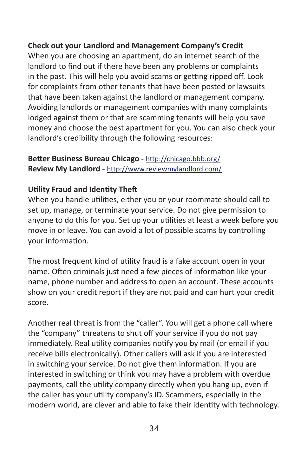#### **Check out your Landlord and Management Company's Credit**

When you are choosing an apartment, do an internet search of the landlord to find out if there have been any problems or complaints in the past. This will help you avoid scams or getting ripped off. Look for complaints from other tenants that have been posted or lawsuits that have been taken against the landlord or management company. Avoiding landlords or management companies with many complaints lodged against them or that are scamming tenants will help you save money and choose the best apartment for you. You can also check your landlord's credibility through the following resources:

#### **Better Business Bureau Chicago -** <http://chicago.bbb.org/> **Review My Landlord -** <http://www.reviewmylandlord.com/>

#### **Utility Fraud and Identity Theft**

When you handle utilities, either you or your roommate should call to set up, manage, or terminate your service. Do not give permission to anyone to do this for you. Set up your utilities at least a week before you move in or leave. You can avoid a lot of possible scams by controlling your information.

The most frequent kind of utility fraud is a fake account open in your name. Often criminals just need a few pieces of information like your name, phone number and address to open an account. These accounts show on your credit report if they are not paid and can hurt your credit score.

Another real threat is from the "caller". You will get a phone call where the "company" threatens to shut off your service if you do not pay immediately. Real utility companies notify you by mail (or email if you receive bills electronically). Other callers will ask if you are interested in switching your service. Do not give them information. If you are interested in switching or think you may have a problem with overdue payments, call the utility company directly when you hang up, even if the caller has your utility company's ID. Scammers, especially in the modern world, are clever and able to fake their identity with technology.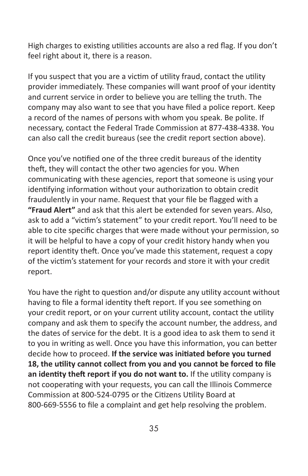High charges to existing utilities accounts are also a red flag. If you don't feel right about it, there is a reason.

If you suspect that you are a victim of utility fraud, contact the utility provider immediately. These companies will want proof of your identity and current service in order to believe you are telling the truth. The company may also want to see that you have filed a police report. Keep a record of the names of persons with whom you speak. Be polite. If necessary, contact the Federal Trade Commission at 877-438-4338. You can also call the credit bureaus (see the credit report section above).

Once you've notified one of the three credit bureaus of the identity theft, they will contact the other two agencies for you. When communicating with these agencies, report that someone is using your identifying information without your authorization to obtain credit fraudulently in your name. Request that your file be flagged with a **"Fraud Alert"** and ask that this alert be extended for seven years. Also, ask to add a "victim's statement" to your credit report. You'll need to be able to cite specific charges that were made without your permission, so it will be helpful to have a copy of your credit history handy when you report identity theft. Once you've made this statement, request a copy of the victim's statement for your records and store it with your credit report.

You have the right to question and/or dispute any utility account without having to file a formal identity theft report. If you see something on your credit report, or on your current utility account, contact the utility company and ask them to specify the account number, the address, and the dates of service for the debt. It is a good idea to ask them to send it to you in writing as well. Once you have this information, you can better decide how to proceed. **If the service was initiated before you turned 18, the utility cannot collect from you and you cannot be forced to file an identity theft report if you do not want to.** If the utility company is not cooperating with your requests, you can call the Illinois Commerce Commission at 800-524-0795 or the Citizens Utility Board at 800-669-5556 to file a complaint and get help resolving the problem.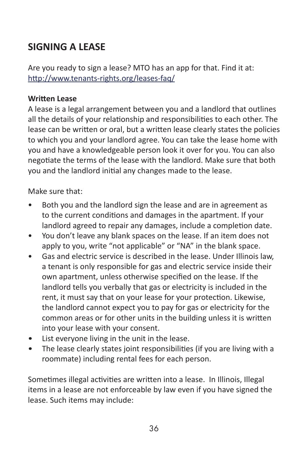# **SIGNING A LEASE**

Are you ready to sign a lease? MTO has an app for that. Find it at: <http://www.tenants-rights.org/leases-faq/>

## **Written Lease**

A lease is a legal arrangement between you and a landlord that outlines all the details of your relationship and responsibilities to each other. The lease can be written or oral, but a written lease clearly states the policies to which you and your landlord agree. You can take the lease home with you and have a knowledgeable person look it over for you. You can also negotiate the terms of the lease with the landlord. Make sure that both you and the landlord initial any changes made to the lease.

Make sure that:

- Both you and the landlord sign the lease and are in agreement as to the current conditions and damages in the apartment. If your landlord agreed to repair any damages, include a completion date.
- You don't leave any blank spaces on the lease. If an item does not apply to you, write "not applicable" or "NA" in the blank space.
- Gas and electric service is described in the lease. Under Illinois law, a tenant is only responsible for gas and electric service inside their own apartment, unless otherwise specified on the lease. If the landlord tells you verbally that gas or electricity is included in the rent, it must say that on your lease for your protection. Likewise, the landlord cannot expect you to pay for gas or electricity for the common areas or for other units in the building unless it is written into your lease with your consent.
- List everyone living in the unit in the lease.
- The lease clearly states joint responsibilities (if you are living with a roommate) including rental fees for each person.

Sometimes illegal activities are written into a lease. In Illinois, Illegal items in a lease are not enforceable by law even if you have signed the lease. Such items may include: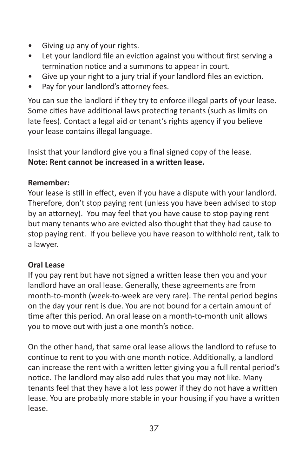- Giving up any of your rights.
- Let your landlord file an eviction against you without first serving a termination notice and a summons to appear in court.
- Give up your right to a jury trial if your landlord files an eviction.
- Pay for your landlord's attorney fees.

You can sue the landlord if they try to enforce illegal parts of your lease. Some cities have additional laws protecting tenants (such as limits on late fees). Contact a legal aid or tenant's rights agency if you believe your lease contains illegal language.

Insist that your landlord give you a final signed copy of the lease. **Note: Rent cannot be increased in a written lease.**

## **Remember:**

Your lease is still in effect, even if you have a dispute with your landlord. Therefore, don't stop paying rent (unless you have been advised to stop by an attorney). You may feel that you have cause to stop paying rent but many tenants who are evicted also thought that they had cause to stop paying rent. If you believe you have reason to withhold rent, talk to a lawyer.

## **Oral Lease**

If you pay rent but have not signed a written lease then you and your landlord have an oral lease. Generally, these agreements are from month-to-month (week-to-week are very rare). The rental period begins on the day your rent is due. You are not bound for a certain amount of time after this period. An oral lease on a month-to-month unit allows you to move out with just a one month's notice.

On the other hand, that same oral lease allows the landlord to refuse to continue to rent to you with one month notice. Additionally, a landlord can increase the rent with a written letter giving you a full rental period's notice. The landlord may also add rules that you may not like. Many tenants feel that they have a lot less power if they do not have a written lease. You are probably more stable in your housing if you have a written lease.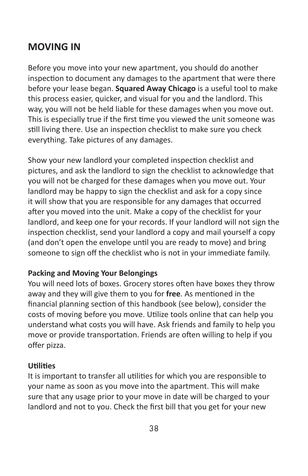# **MOVING IN**

Before you move into your new apartment, you should do another inspection to document any damages to the apartment that were there before your lease began. **Squared Away Chicago** is a useful tool to make this process easier, quicker, and visual for you and the landlord. This way, you will not be held liable for these damages when you move out. This is especially true if the first time you viewed the unit someone was still living there. Use an inspection checklist to make sure you check everything. Take pictures of any damages.

Show your new landlord your completed inspection checklist and pictures, and ask the landlord to sign the checklist to acknowledge that you will not be charged for these damages when you move out. Your landlord may be happy to sign the checklist and ask for a copy since it will show that you are responsible for any damages that occurred after you moved into the unit. Make a copy of the checklist for your landlord, and keep one for your records. If your landlord will not sign the inspection checklist, send your landlord a copy and mail yourself a copy (and don't open the envelope until you are ready to move) and bring someone to sign off the checklist who is not in your immediate family.

## **Packing and Moving Your Belongings**

You will need lots of boxes. Grocery stores often have boxes they throw away and they will give them to you for **free**. As mentioned in the financial planning section of this handbook (see below), consider the costs of moving before you move. Utilize tools online that can help you understand what costs you will have. Ask friends and family to help you move or provide transportation. Friends are often willing to help if you offer pizza.

#### **Utilities**

It is important to transfer all utilities for which you are responsible to your name as soon as you move into the apartment. This will make sure that any usage prior to your move in date will be charged to your landlord and not to you. Check the first bill that you get for your new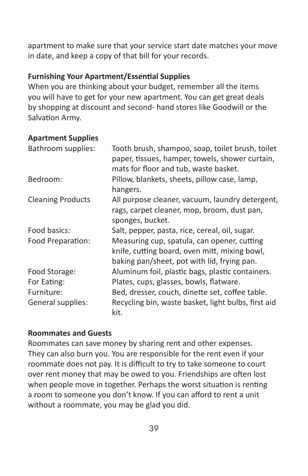apartment to make sure that your service start date matches your move in date, and keep a copy of that bill for your records.

## **Furnishing Your Apartment/Essential Supplies**

When you are thinking about your budget, remember all the items you will have to get for your new apartment. You can get great deals by shopping at discount and second- hand stores like Goodwill or the Salvation Army.

#### **Apartment Supplies**

| Bathroom supplies:       | Tooth brush, shampoo, soap, toilet brush, toilet<br>paper, tissues, hamper, towels, shower curtain,<br>mats for floor and tub, waste basket. |
|--------------------------|----------------------------------------------------------------------------------------------------------------------------------------------|
| Bedroom:                 | Pillow, blankets, sheets, pillow case, lamp,<br>hangers.                                                                                     |
| <b>Cleaning Products</b> | All purpose cleaner, vacuum, laundry detergent,<br>rags, carpet cleaner, mop, broom, dust pan,<br>sponges, bucket.                           |
| Food basics:             | Salt, pepper, pasta, rice, cereal, oil, sugar.                                                                                               |
| Food Preparation:        | Measuring cup, spatula, can opener, cutting<br>knife, cutting board, oven mitt, mixing bowl,<br>baking pan/sheet, pot with lid, frying pan.  |
| Food Storage:            | Aluminum foil, plastic bags, plastic containers.                                                                                             |
| For Eating:              | Plates, cups, glasses, bowls, flatware.                                                                                                      |
| Furniture:               | Bed, dresser, couch, dinette set, coffee table.                                                                                              |
| General supplies:        | Recycling bin, waste basket, light bulbs, first aid<br>kit.                                                                                  |

#### **Roommates and Guests**

Roommates can save money by sharing rent and other expenses. They can also burn you. You are responsible for the rent even if your roommate does not pay. It is difficult to try to take someone to court over rent money that may be owed to you. Friendships are often lost when people move in together. Perhaps the worst situation is renting a room to someone you don't know. If you can afford to rent a unit without a roommate, you may be glad you did.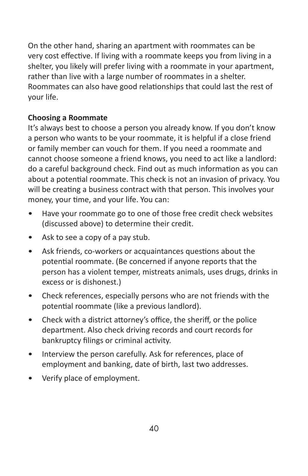On the other hand, sharing an apartment with roommates can be very cost effective. If living with a roommate keeps you from living in a shelter, you likely will prefer living with a roommate in your apartment, rather than live with a large number of roommates in a shelter. Roommates can also have good relationships that could last the rest of your life.

# **Choosing a Roommate**

It's always best to choose a person you already know. If you don't know a person who wants to be your roommate, it is helpful if a close friend or family member can vouch for them. If you need a roommate and cannot choose someone a friend knows, you need to act like a landlord: do a careful background check. Find out as much information as you can about a potential roommate. This check is not an invasion of privacy. You will be creating a business contract with that person. This involves your money, your time, and your life. You can:

- Have your roommate go to one of those free credit check websites (discussed above) to determine their credit.
- Ask to see a copy of a pay stub.
- Ask friends, co-workers or acquaintances questions about the potential roommate. (Be concerned if anyone reports that the person has a violent temper, mistreats animals, uses drugs, drinks in excess or is dishonest.)
- Check references, especially persons who are not friends with the potential roommate (like a previous landlord).
- Check with a district attorney's office, the sheriff, or the police department. Also check driving records and court records for bankruptcy filings or criminal activity.
- Interview the person carefully. Ask for references, place of employment and banking, date of birth, last two addresses.
- Verify place of employment.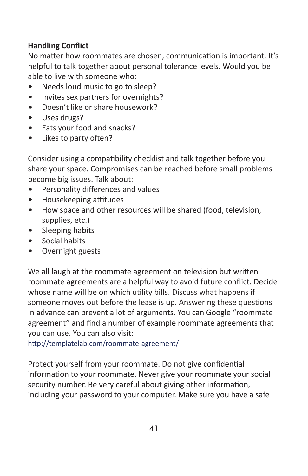# **Handling Conflict**

No matter how roommates are chosen, communication is important. It's helpful to talk together about personal tolerance levels. Would you be able to live with someone who:

- Needs loud music to go to sleep?
- Invites sex partners for overnights?
- Doesn't like or share housework?
- Uses drugs?
- Eats your food and snacks?
- Likes to party often?

Consider using a compatibility checklist and talk together before you share your space. Compromises can be reached before small problems become big issues. Talk about:

- Personality differences and values
- Housekeeping attitudes
- How space and other resources will be shared (food, television, supplies, etc.)
- Sleeping habits
- Social habits
- Overnight guests

We all laugh at the roommate agreement on television but written roommate agreements are a helpful way to avoid future conflict. Decide whose name will be on which utility bills. Discuss what happens if someone moves out before the lease is up. Answering these questions in advance can prevent a lot of arguments. You can Google "roommate agreement" and find a number of example roommate agreements that you can use. You can also visit:

<http://templatelab.com/roommate-agreement/>

Protect yourself from your roommate. Do not give confidential information to your roommate. Never give your roommate your social security number. Be very careful about giving other information, including your password to your computer. Make sure you have a safe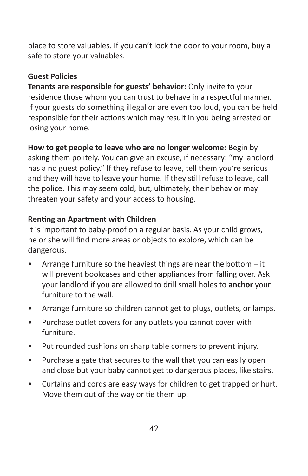place to store valuables. If you can't lock the door to your room, buy a safe to store your valuables.

# **Guest Policies**

**Tenants are responsible for guests' behavior:** Only invite to your residence those whom you can trust to behave in a respectful manner. If your guests do something illegal or are even too loud, you can be held responsible for their actions which may result in you being arrested or losing your home.

**How to get people to leave who are no longer welcome:** Begin by asking them politely. You can give an excuse, if necessary: "my landlord has a no guest policy." If they refuse to leave, tell them you're serious and they will have to leave your home. If they still refuse to leave, call the police. This may seem cold, but, ultimately, their behavior may threaten your safety and your access to housing.

## **Renting an Apartment with Children**

It is important to baby-proof on a regular basis. As your child grows, he or she will find more areas or objects to explore, which can be dangerous.

- Arrange furniture so the heaviest things are near the bottom  $-$  it will prevent bookcases and other appliances from falling over. Ask your landlord if you are allowed to drill small holes to **anchor** your furniture to the wall.
- Arrange furniture so children cannot get to plugs, outlets, or lamps.
- Purchase outlet covers for any outlets you cannot cover with furniture.
- Put rounded cushions on sharp table corners to prevent injury.
- Purchase a gate that secures to the wall that you can easily open and close but your baby cannot get to dangerous places, like stairs.
- Curtains and cords are easy ways for children to get trapped or hurt. Move them out of the way or tie them up.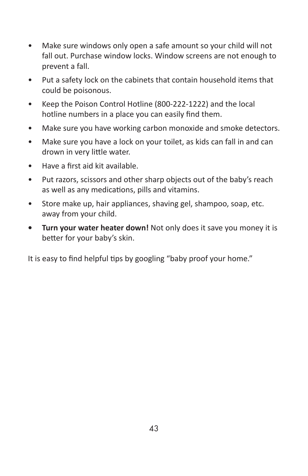- Make sure windows only open a safe amount so your child will not fall out. Purchase window locks. Window screens are not enough to prevent a fall.
- Put a safety lock on the cabinets that contain household items that could be poisonous.
- Keep the Poison Control Hotline (800-222-1222) and the local hotline numbers in a place you can easily find them.
- Make sure you have working carbon monoxide and smoke detectors.
- Make sure you have a lock on your toilet, as kids can fall in and can drown in very little water.
- Have a first aid kit available.
- Put razors, scissors and other sharp objects out of the baby's reach as well as any medications, pills and vitamins.
- Store make up, hair appliances, shaving gel, shampoo, soap, etc. away from your child.
- **• Turn your water heater down!** Not only does it save you money it is better for your baby's skin.

It is easy to find helpful tips by googling "baby proof your home."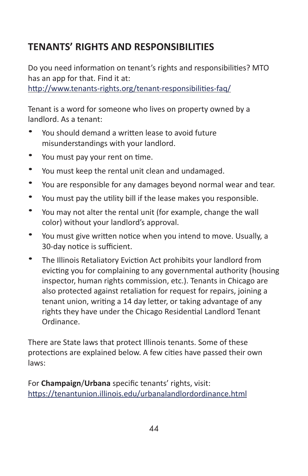# **TENANTS' RIGHTS AND RESPONSIBILITIES**

Do you need information on tenant's rights and responsibilities? MTO has an app for that. Find it at:

<http://www.tenants-rights.org/tenant-responsibilities-faq/>

Tenant is a word for someone who lives on property owned by a landlord. As a tenant:

- You should demand a written lease to avoid future misunderstandings with your landlord.
- You must pay your rent on time.
- You must keep the rental unit clean and undamaged.
- You are responsible for any damages beyond normal wear and tear.
- You must pay the utility bill if the lease makes you responsible.
- You may not alter the rental unit (for example, change the wall color) without your landlord's approval.
- You must give written notice when you intend to move. Usually, a 30-day notice is sufficient.
- The Illinois Retaliatory Eviction Act prohibits your landlord from evicting you for complaining to any governmental authority (housing inspector, human rights commission, etc.). Tenants in Chicago are also protected against retaliation for request for repairs, joining a tenant union, writing a 14 day letter, or taking advantage of any rights they have under the Chicago Residential Landlord Tenant Ordinance.

There are State laws that protect Illinois tenants. Some of these protections are explained below. A few cities have passed their own laws:

For **Champaign**/**Urbana** specific tenants' rights, visit: <https://tenantunion.illinois.edu/urbanalandlordordinance.html>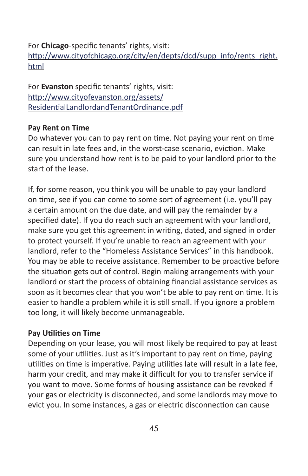# For **Chicago**-specific tenants' rights, visit: [http://www.cityofchicago.org/city/en/depts/dcd/supp\\_info/rents\\_right.](http://www.cityofchicago.org/city/en/depts/dcd/supp_info/rents_right.html) [html](http://www.cityofchicago.org/city/en/depts/dcd/supp_info/rents_right.html)

For **Evanston** specific tenants' rights, visit: [http://www.cityofevanston.org/assets/](http://www.cityofevanston.org/assets/ResidentialLandlordandTenantOrdinance.pdf) [ResidentialLandlordandTenantOrdinance.pdf](http://www.cityofevanston.org/assets/ResidentialLandlordandTenantOrdinance.pdf)

#### **Pay Rent on Time**

Do whatever you can to pay rent on time. Not paying your rent on time can result in late fees and, in the worst-case scenario, eviction. Make sure you understand how rent is to be paid to your landlord prior to the start of the lease.

If, for some reason, you think you will be unable to pay your landlord on time, see if you can come to some sort of agreement (i.e. you'll pay a certain amount on the due date, and will pay the remainder by a specified date). If you do reach such an agreement with your landlord, make sure you get this agreement in writing, dated, and signed in order to protect yourself. If you're unable to reach an agreement with your landlord, refer to the "Homeless Assistance Services" in this handbook. You may be able to receive assistance. Remember to be proactive before the situation gets out of control. Begin making arrangements with your landlord or start the process of obtaining financial assistance services as soon as it becomes clear that you won't be able to pay rent on time. It is easier to handle a problem while it is still small. If you ignore a problem too long, it will likely become unmanageable.

#### **Pay Utilities on Time**

Depending on your lease, you will most likely be required to pay at least some of your utilities. Just as it's important to pay rent on time, paying utilities on time is imperative. Paying utilities late will result in a late fee, harm your credit, and may make it difficult for you to transfer service if you want to move. Some forms of housing assistance can be revoked if your gas or electricity is disconnected, and some landlords may move to evict you. In some instances, a gas or electric disconnection can cause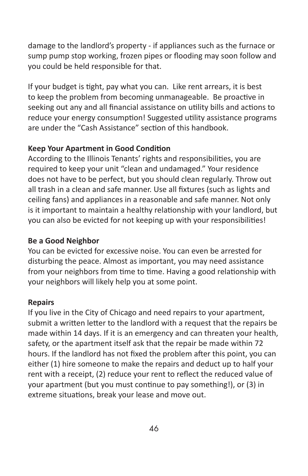damage to the landlord's property - if appliances such as the furnace or sump pump stop working, frozen pipes or flooding may soon follow and you could be held responsible for that.

If your budget is tight, pay what you can. Like rent arrears, it is best to keep the problem from becoming unmanageable. Be proactive in seeking out any and all financial assistance on utility bills and actions to reduce your energy consumption! Suggested utility assistance programs are under the "Cash Assistance" section of this handbook.

## **Keep Your Apartment in Good Condition**

According to the Illinois Tenants' rights and responsibilities, you are required to keep your unit "clean and undamaged." Your residence does not have to be perfect, but you should clean regularly. Throw out all trash in a clean and safe manner. Use all fixtures (such as lights and ceiling fans) and appliances in a reasonable and safe manner. Not only is it important to maintain a healthy relationship with your landlord, but you can also be evicted for not keeping up with your responsibilities!

# **Be a Good Neighbor**

You can be evicted for excessive noise. You can even be arrested for disturbing the peace. Almost as important, you may need assistance from your neighbors from time to time. Having a good relationship with your neighbors will likely help you at some point.

## **Repairs**

If you live in the City of Chicago and need repairs to your apartment, submit a written letter to the landlord with a request that the repairs be made within 14 days. If it is an emergency and can threaten your health, safety, or the apartment itself ask that the repair be made within 72 hours. If the landlord has not fixed the problem after this point, you can either (1) hire someone to make the repairs and deduct up to half your rent with a receipt, (2) reduce your rent to reflect the reduced value of your apartment (but you must continue to pay something!), or (3) in extreme situations, break your lease and move out.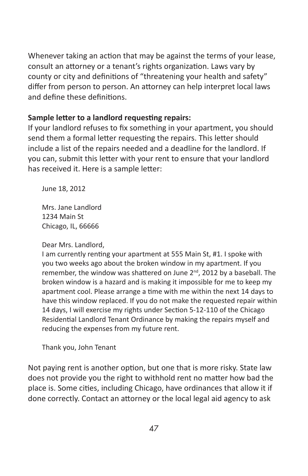Whenever taking an action that may be against the terms of your lease, consult an attorney or a tenant's rights organization. Laws vary by county or city and definitions of "threatening your health and safety" differ from person to person. An attorney can help interpret local laws and define these definitions.

## **Sample letter to a landlord requesting repairs:**

If your landlord refuses to fix something in your apartment, you should send them a formal letter requesting the repairs. This letter should include a list of the repairs needed and a deadline for the landlord. If you can, submit this letter with your rent to ensure that your landlord has received it. Here is a sample letter:

June 18, 2012

Mrs. Jane Landlord 1234 Main St Chicago, IL, 66666

Dear Mrs. Landlord,

I am currently renting your apartment at 555 Main St, #1. I spoke with you two weeks ago about the broken window in my apartment. If you remember, the window was shattered on June 2<sup>nd</sup>, 2012 by a baseball. The broken window is a hazard and is making it impossible for me to keep my apartment cool. Please arrange a time with me within the next 14 days to have this window replaced. If you do not make the requested repair within 14 days, I will exercise my rights under Section 5-12-110 of the Chicago Residential Landlord Tenant Ordinance by making the repairs myself and reducing the expenses from my future rent.

Thank you, John Tenant

Not paying rent is another option, but one that is more risky. State law does not provide you the right to withhold rent no matter how bad the place is. Some cities, including Chicago, have ordinances that allow it if done correctly. Contact an attorney or the local legal aid agency to ask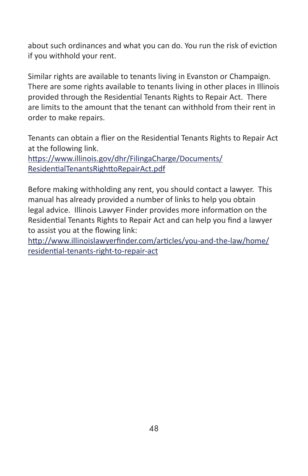about such ordinances and what you can do. You run the risk of eviction if you withhold your rent.

Similar rights are available to tenants living in Evanston or Champaign. There are some rights available to tenants living in other places in Illinois provided through the Residential Tenants Rights to Repair Act. There are limits to the amount that the tenant can withhold from their rent in order to make repairs.

Tenants can obtain a flier on the Residential Tenants Rights to Repair Act at the following link.

[https://www.illinois.gov/dhr/FilingaCharge/Documents/](https://www.illinois.gov/dhr/FilingaCharge/Documents/ResidentialTenantsRighttoRepairAct.pdf) [ResidentialTenantsRighttoRepairAct.pdf](https://www.illinois.gov/dhr/FilingaCharge/Documents/ResidentialTenantsRighttoRepairAct.pdf)

Before making withholding any rent, you should contact a lawyer. This manual has already provided a number of links to help you obtain legal advice. Illinois Lawyer Finder provides more information on the Residential Tenants Rights to Repair Act and can help you find a lawyer to assist you at the flowing link:

[http://www.illinoislawyerfinder.com/articles/you-and-the-law/home/](http://www.illinoislawyerfinder.com/articles/you-and-the-law/home/residential-tenants-right-to-repair-act) [residential-tenants-right-to-repair-act](http://www.illinoislawyerfinder.com/articles/you-and-the-law/home/residential-tenants-right-to-repair-act)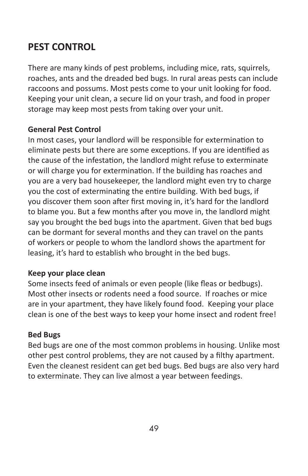# **PEST CONTROL**

There are many kinds of pest problems, including mice, rats, squirrels, roaches, ants and the dreaded bed bugs. In rural areas pests can include raccoons and possums. Most pests come to your unit looking for food. Keeping your unit clean, a secure lid on your trash, and food in proper storage may keep most pests from taking over your unit.

## **General Pest Control**

In most cases, your landlord will be responsible for extermination to eliminate pests but there are some exceptions. If you are identified as the cause of the infestation, the landlord might refuse to exterminate or will charge you for extermination. If the building has roaches and you are a very bad housekeeper, the landlord might even try to charge you the cost of exterminating the entire building. With bed bugs, if you discover them soon after first moving in, it's hard for the landlord to blame you. But a few months after you move in, the landlord might say you brought the bed bugs into the apartment. Given that bed bugs can be dormant for several months and they can travel on the pants of workers or people to whom the landlord shows the apartment for leasing, it's hard to establish who brought in the bed bugs.

## **Keep your place clean**

Some insects feed of animals or even people (like fleas or bedbugs). Most other insects or rodents need a food source. If roaches or mice are in your apartment, they have likely found food. Keeping your place clean is one of the best ways to keep your home insect and rodent free!

## **Bed Bugs**

Bed bugs are one of the most common problems in housing. Unlike most other pest control problems, they are not caused by a filthy apartment. Even the cleanest resident can get bed bugs. Bed bugs are also very hard to exterminate. They can live almost a year between feedings.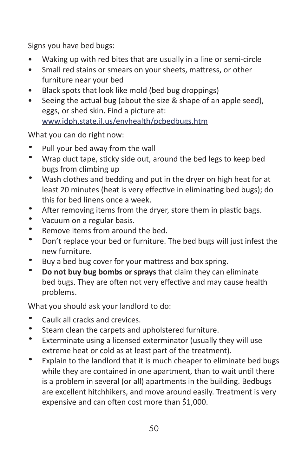Signs you have bed bugs:

- Waking up with red bites that are usually in a line or semi-circle
- Small red stains or smears on your sheets, mattress, or other furniture near your bed
- Black spots that look like mold (bed bug droppings)
- Seeing the actual bug (about the size & shape of an apple seed), eggs, or shed skin. Find a picture at: [www.idph.state.il.us/envhealth/pcbedbugs.htm](http://www.idph.state.il.us/envhealth/pcbedbugs.htm)

What you can do right now:

- Pull your bed away from the wall
- Wrap duct tape, sticky side out, around the bed legs to keep bed bugs from climbing up
- Wash clothes and bedding and put in the dryer on high heat for at least 20 minutes (heat is very effective in eliminating bed bugs); do this for bed linens once a week.
- After removing items from the dryer, store them in plastic bags.
- Vacuum on a regular basis.
- Remove items from around the bed.
- Don't replace your bed or furniture. The bed bugs will just infest the new furniture.
- Buy a bed bug cover for your mattress and box spring.
- **Do not buy bug bombs or sprays** that claim they can eliminate bed bugs. They are often not very effective and may cause health problems.

What you should ask your landlord to do:

- Caulk all cracks and crevices.
- Steam clean the carpets and upholstered furniture.
- Exterminate using a licensed exterminator (usually they will use extreme heat or cold as at least part of the treatment).
- Explain to the landlord that it is much cheaper to eliminate bed bugs while they are contained in one apartment, than to wait until there is a problem in several (or all) apartments in the building. Bedbugs are excellent hitchhikers, and move around easily. Treatment is very expensive and can often cost more than \$1,000.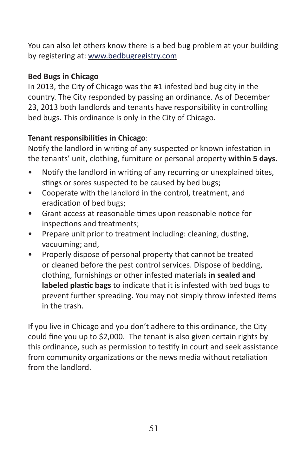You can also let others know there is a bed bug problem at your building by registering at: [www.bedbugregistry.com](http://www.bedbugregistry.com/)

# **Bed Bugs in Chicago**

In 2013, the City of Chicago was the #1 infested bed bug city in the country. The City responded by passing an ordinance. As of December 23, 2013 both landlords and tenants have responsibility in controlling bed bugs. This ordinance is only in the City of Chicago.

# **Tenant responsibilities in Chicago**:

Notify the landlord in writing of any suspected or known infestation in the tenants' unit, clothing, furniture or personal property **within 5 days.**

- Notify the landlord in writing of any recurring or unexplained bites, stings or sores suspected to be caused by bed bugs;
- Cooperate with the landlord in the control, treatment, and eradication of bed bugs;
- Grant access at reasonable times upon reasonable notice for inspections and treatments;
- Prepare unit prior to treatment including: cleaning, dusting, vacuuming; and,
- Properly dispose of personal property that cannot be treated or cleaned before the pest control services. Dispose of bedding, clothing, furnishings or other infested materials **in sealed and labeled plastic bags** to indicate that it is infested with bed bugs to prevent further spreading. You may not simply throw infested items in the trash.

If you live in Chicago and you don't adhere to this ordinance, the City could fine you up to \$2,000. The tenant is also given certain rights by this ordinance, such as permission to testify in court and seek assistance from community organizations or the news media without retaliation from the landlord.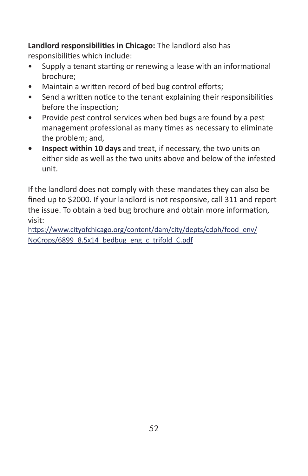**Landlord responsibilities in Chicago:** The landlord also has responsibilities which include:

- Supply a tenant starting or renewing a lease with an informational brochure;
- Maintain a written record of bed bug control efforts;
- Send a written notice to the tenant explaining their responsibilities before the inspection;
- Provide pest control services when bed bugs are found by a pest management professional as many times as necessary to eliminate the problem; and,
- **• Inspect within 10 days** and treat, if necessary, the two units on either side as well as the two units above and below of the infested unit.

If the landlord does not comply with these mandates they can also be fined up to \$2000. If your landlord is not responsive, call 311 and report the issue. To obtain a bed bug brochure and obtain more information, visit:

[https://www.cityofchicago.org/content/dam/city/depts/cdph/food\\_env/](https://www.cityofchicago.org/content/dam/city/depts/cdph/food_env/NoCrops/6899_8.5x14_bedbug_eng_c_trifold_C.pdf) [NoCrops/6899\\_8.5x14\\_bedbug\\_eng\\_c\\_trifold\\_C.pdf](https://www.cityofchicago.org/content/dam/city/depts/cdph/food_env/NoCrops/6899_8.5x14_bedbug_eng_c_trifold_C.pdf)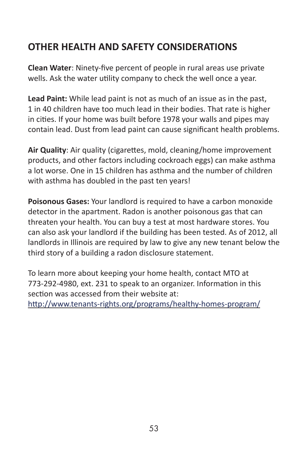# **OTHER HEALTH AND SAFETY CONSIDERATIONS**

**Clean Water**: Ninety-five percent of people in rural areas use private wells. Ask the water utility company to check the well once a year.

**Lead Paint:** While lead paint is not as much of an issue as in the past, 1 in 40 children have too much lead in their bodies. That rate is higher in cities. If your home was built before 1978 your walls and pipes may contain lead. Dust from lead paint can cause significant health problems.

**Air Quality**: Air quality (cigarettes, mold, cleaning/home improvement products, and other factors including cockroach eggs) can make asthma a lot worse. One in 15 children has asthma and the number of children with asthma has doubled in the past ten years!

**Poisonous Gases:** Your landlord is required to have a carbon monoxide detector in the apartment. Radon is another poisonous gas that can threaten your health. You can buy a test at most hardware stores. You can also ask your landlord if the building has been tested. As of 2012, all landlords in Illinois are required by law to give any new tenant below the third story of a building a radon disclosure statement.

To learn more about keeping your home health, contact MTO at 773-292-4980, ext. 231 to speak to an organizer. Information in this section was accessed from their website at:

<http://www.tenants-rights.org/programs/healthy-homes-program/>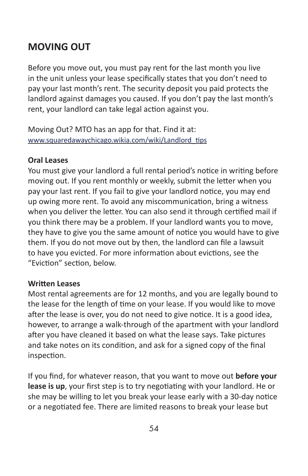# **MOVING OUT**

Before you move out, you must pay rent for the last month you live in the unit unless your lease specifically states that you don't need to pay your last month's rent. The security deposit you paid protects the landlord against damages you caused. If you don't pay the last month's rent, your landlord can take legal action against you.

Moving Out? MTO has an app for that. Find it at: [www.squaredawaychicago.wikia.com/wiki/Landlord\\_tips](http://www.squaredawaychicago.wikia.com/wiki/Landlord_tips)

#### **Oral Leases**

You must give your landlord a full rental period's notice in writing before moving out. If you rent monthly or weekly, submit the letter when you pay your last rent. If you fail to give your landlord notice, you may end up owing more rent. To avoid any miscommunication, bring a witness when you deliver the letter. You can also send it through certified mail if you think there may be a problem. If your landlord wants you to move, they have to give you the same amount of notice you would have to give them. If you do not move out by then, the landlord can file a lawsuit to have you evicted. For more information about evictions, see the "Eviction" section, below.

## **Written Leases**

Most rental agreements are for 12 months, and you are legally bound to the lease for the length of time on your lease. If you would like to move after the lease is over, you do not need to give notice. It is a good idea, however, to arrange a walk-through of the apartment with your landlord after you have cleaned it based on what the lease says. Take pictures and take notes on its condition, and ask for a signed copy of the final inspection.

If you find, for whatever reason, that you want to move out **before your lease is up**, your first step is to try negotiating with your landlord. He or she may be willing to let you break your lease early with a 30-day notice or a negotiated fee. There are limited reasons to break your lease but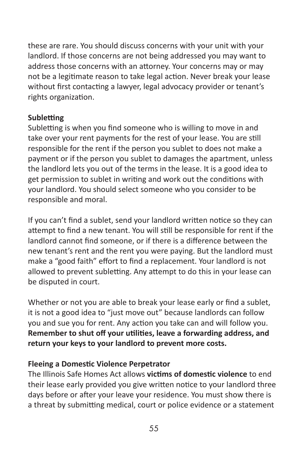these are rare. You should discuss concerns with your unit with your landlord. If those concerns are not being addressed you may want to address those concerns with an attorney. Your concerns may or may not be a legitimate reason to take legal action. Never break your lease without first contacting a lawyer, legal advocacy provider or tenant's rights organization.

## **Subletting**

Subletting is when you find someone who is willing to move in and take over your rent payments for the rest of your lease. You are still responsible for the rent if the person you sublet to does not make a payment or if the person you sublet to damages the apartment, unless the landlord lets you out of the terms in the lease. It is a good idea to get permission to sublet in writing and work out the conditions with your landlord. You should select someone who you consider to be responsible and moral.

If you can't find a sublet, send your landlord written notice so they can attempt to find a new tenant. You will still be responsible for rent if the landlord cannot find someone, or if there is a difference between the new tenant's rent and the rent you were paying. But the landlord must make a "good faith" effort to find a replacement. Your landlord is not allowed to prevent subletting. Any attempt to do this in your lease can be disputed in court.

Whether or not you are able to break your lease early or find a sublet, it is not a good idea to "just move out" because landlords can follow you and sue you for rent. Any action you take can and will follow you. **Remember to shut off your utilities, leave a forwarding address, and return your keys to your landlord to prevent more costs.**

## **Fleeing a Domestic Violence Perpetrator**

The Illinois Safe Homes Act allows **victims of domestic violence** to end their lease early provided you give written notice to your landlord three days before or after your leave your residence. You must show there is a threat by submitting medical, court or police evidence or a statement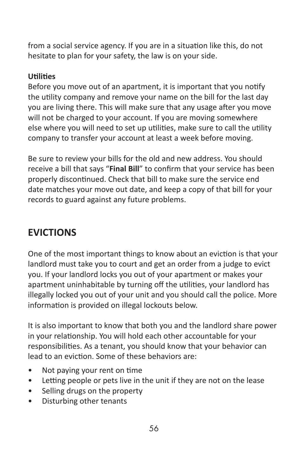from a social service agency. If you are in a situation like this, do not hesitate to plan for your safety, the law is on your side.

# **Utilities**

Before you move out of an apartment, it is important that you notify the utility company and remove your name on the bill for the last day you are living there. This will make sure that any usage after you move will not be charged to your account. If you are moving somewhere else where you will need to set up utilities, make sure to call the utility company to transfer your account at least a week before moving.

Be sure to review your bills for the old and new address. You should receive a bill that says "**Final Bill**" to confirm that your service has been properly discontinued. Check that bill to make sure the service end date matches your move out date, and keep a copy of that bill for your records to guard against any future problems.

# **EVICTIONS**

One of the most important things to know about an eviction is that your landlord must take you to court and get an order from a judge to evict you. If your landlord locks you out of your apartment or makes your apartment uninhabitable by turning off the utilities, your landlord has illegally locked you out of your unit and you should call the police. More information is provided on illegal lockouts below.

It is also important to know that both you and the landlord share power in your relationship. You will hold each other accountable for your responsibilities. As a tenant, you should know that your behavior can lead to an eviction. Some of these behaviors are:

- Not paying your rent on time
- Letting people or pets live in the unit if they are not on the lease
- Selling drugs on the property
- Disturbing other tenants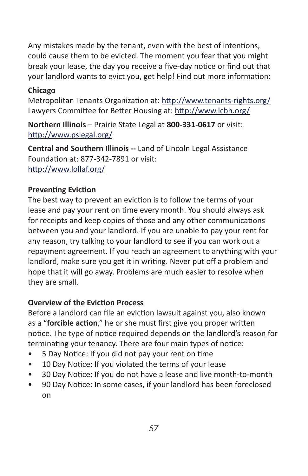Any mistakes made by the tenant, even with the best of intentions, could cause them to be evicted. The moment you fear that you might break your lease, the day you receive a five-day notice or find out that your landlord wants to evict you, get help! Find out more information:

## **Chicago**

Metropolitan Tenants Organization at:<http://www.tenants-rights.org/> Lawyers Committee for Better Housing at: <http://www.lcbh.org/>

**Northern Illinois** – Prairie State Legal at **800-331-0617** or visit: <http://www.pslegal.org/>

**Central and Southern Illinois --** Land of Lincoln Legal Assistance Foundation at: 877-342-7891 or visit: <http://www.lollaf.org/>

## **Preventing Eviction**

The best way to prevent an eviction is to follow the terms of your lease and pay your rent on time every month. You should always ask for receipts and keep copies of those and any other communications between you and your landlord. If you are unable to pay your rent for any reason, try talking to your landlord to see if you can work out a repayment agreement. If you reach an agreement to anything with your landlord, make sure you get it in writing. Never put off a problem and hope that it will go away. Problems are much easier to resolve when they are small.

# **Overview of the Eviction Process**

Before a landlord can file an eviction lawsuit against you, also known as a "**forcible action**," he or she must first give you proper written notice. The type of notice required depends on the landlord's reason for terminating your tenancy. There are four main types of notice:

- 5 Day Notice: If you did not pay your rent on time
- 10 Day Notice: If you violated the terms of your lease
- 30 Day Notice: If you do not have a lease and live month-to-month
- 90 Day Notice: In some cases, if your landlord has been foreclosed on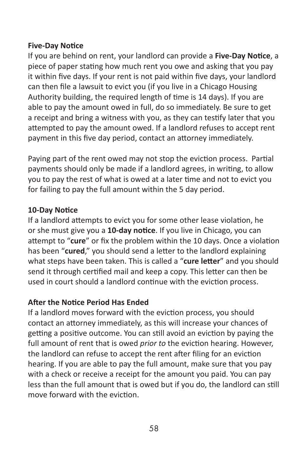## **Five-Day Notice**

If you are behind on rent, your landlord can provide a **Five-Day Notice**, a piece of paper stating how much rent you owe and asking that you pay it within five days. If your rent is not paid within five days, your landlord can then file a lawsuit to evict you (if you live in a Chicago Housing Authority building, the required length of time is 14 days). If you are able to pay the amount owed in full, do so immediately. Be sure to get a receipt and bring a witness with you, as they can testify later that you attempted to pay the amount owed. If a landlord refuses to accept rent payment in this five day period, contact an attorney immediately.

Paying part of the rent owed may not stop the eviction process. Partial payments should only be made if a landlord agrees, in writing, to allow you to pay the rest of what is owed at a later time and not to evict you for failing to pay the full amount within the 5 day period.

## **10-Day Notice**

If a landlord attempts to evict you for some other lease violation, he or she must give you a **10-day notice**. If you live in Chicago, you can attempt to "**cure**" or fix the problem within the 10 days. Once a violation has been "**cured**," you should send a letter to the landlord explaining what steps have been taken. This is called a "**cure letter**" and you should send it through certified mail and keep a copy. This letter can then be used in court should a landlord continue with the eviction process.

## **After the Notice Period Has Ended**

If a landlord moves forward with the eviction process, you should contact an attorney immediately, as this will increase your chances of getting a positive outcome. You can still avoid an eviction by paying the full amount of rent that is owed *prior to* the eviction hearing. However, the landlord can refuse to accept the rent after filing for an eviction hearing. If you are able to pay the full amount, make sure that you pay with a check or receive a receipt for the amount you paid. You can pay less than the full amount that is owed but if you do, the landlord can still move forward with the eviction.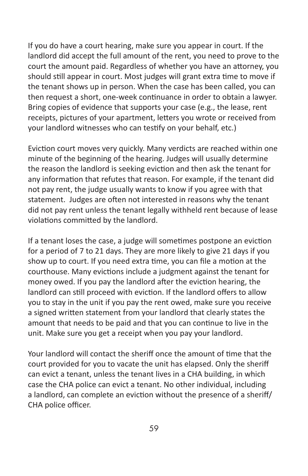If you do have a court hearing, make sure you appear in court. If the landlord did accept the full amount of the rent, you need to prove to the court the amount paid. Regardless of whether you have an attorney, you should still appear in court. Most judges will grant extra time to move if the tenant shows up in person. When the case has been called, you can then request a short, one-week continuance in order to obtain a lawyer. Bring copies of evidence that supports your case (e.g., the lease, rent receipts, pictures of your apartment, letters you wrote or received from your landlord witnesses who can testify on your behalf, etc.)

Eviction court moves very quickly. Many verdicts are reached within one minute of the beginning of the hearing. Judges will usually determine the reason the landlord is seeking eviction and then ask the tenant for any information that refutes that reason. For example, if the tenant did not pay rent, the judge usually wants to know if you agree with that statement. Judges are often not interested in reasons why the tenant did not pay rent unless the tenant legally withheld rent because of lease violations committed by the landlord.

If a tenant loses the case, a judge will sometimes postpone an eviction for a period of 7 to 21 days. They are more likely to give 21 days if you show up to court. If you need extra time, you can file a motion at the courthouse. Many evictions include a judgment against the tenant for money owed. If you pay the landlord after the eviction hearing, the landlord can still proceed with eviction. If the landlord offers to allow you to stay in the unit if you pay the rent owed, make sure you receive a signed written statement from your landlord that clearly states the amount that needs to be paid and that you can continue to live in the unit. Make sure you get a receipt when you pay your landlord.

Your landlord will contact the sheriff once the amount of time that the court provided for you to vacate the unit has elapsed. Only the sheriff can evict a tenant, unless the tenant lives in a CHA building, in which case the CHA police can evict a tenant. No other individual, including a landlord, can complete an eviction without the presence of a sheriff/ CHA police officer.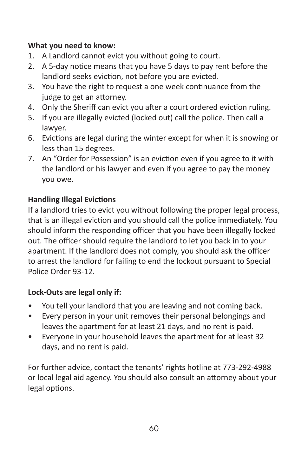# **What you need to know:**

- 1. A Landlord cannot evict you without going to court.
- 2. A 5-day notice means that you have 5 days to pay rent before the landlord seeks eviction, not before you are evicted.
- 3. You have the right to request a one week continuance from the judge to get an attorney.
- 4. Only the Sheriff can evict you after a court ordered eviction ruling.
- 5. If you are illegally evicted (locked out) call the police. Then call a lawyer.
- 6. Evictions are legal during the winter except for when it is snowing or less than 15 degrees.
- 7. An "Order for Possession" is an eviction even if you agree to it with the landlord or his lawyer and even if you agree to pay the money you owe.

# **Handling Illegal Evictions**

If a landlord tries to evict you without following the proper legal process, that is an illegal eviction and you should call the police immediately. You should inform the responding officer that you have been illegally locked out. The officer should require the landlord to let you back in to your apartment. If the landlord does not comply, you should ask the officer to arrest the landlord for failing to end the lockout pursuant to Special Police Order 93-12.

## **Lock-Outs are legal only if:**

- You tell your landlord that you are leaving and not coming back.
- Every person in your unit removes their personal belongings and leaves the apartment for at least 21 days, and no rent is paid.
- Everyone in your household leaves the apartment for at least 32 days, and no rent is paid.

For further advice, contact the tenants' rights hotline at 773-292-4988 or local legal aid agency. You should also consult an attorney about your legal options.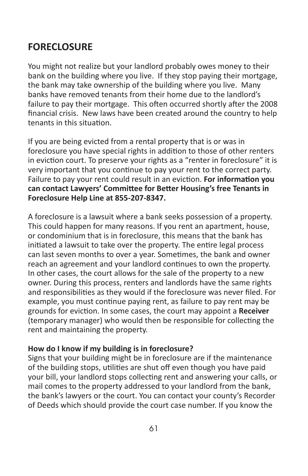# **FORECLOSURE**

You might not realize but your landlord probably owes money to their bank on the building where you live. If they stop paying their mortgage, the bank may take ownership of the building where you live. Many banks have removed tenants from their home due to the landlord's failure to pay their mortgage. This often occurred shortly after the 2008 financial crisis. New laws have been created around the country to help tenants in this situation.

If you are being evicted from a rental property that is or was in foreclosure you have special rights in addition to those of other renters in eviction court. To preserve your rights as a "renter in foreclosure" it is very important that you continue to pay your rent to the correct party. Failure to pay your rent could result in an eviction. **For information you can contact Lawyers' Committee for Better Housing's free Tenants in Foreclosure Help Line at 855-207-8347.**

A foreclosure is a lawsuit where a bank seeks possession of a property. This could happen for many reasons. If you rent an apartment, house, or condominium that is in foreclosure, this means that the bank has initiated a lawsuit to take over the property. The entire legal process can last seven months to over a year. Sometimes, the bank and owner reach an agreement and your landlord continues to own the property. In other cases, the court allows for the sale of the property to a new owner. During this process, renters and landlords have the same rights and responsibilities as they would if the foreclosure was never filed. For example, you must continue paying rent, as failure to pay rent may be grounds for eviction. In some cases, the court may appoint a **Receiver** (temporary manager) who would then be responsible for collecting the rent and maintaining the property.

## **How do I know if my building is in foreclosure?**

Signs that your building might be in foreclosure are if the maintenance of the building stops, utilities are shut off even though you have paid your bill, your landlord stops collecting rent and answering your calls, or mail comes to the property addressed to your landlord from the bank, the bank's lawyers or the court. You can contact your county's Recorder of Deeds which should provide the court case number. If you know the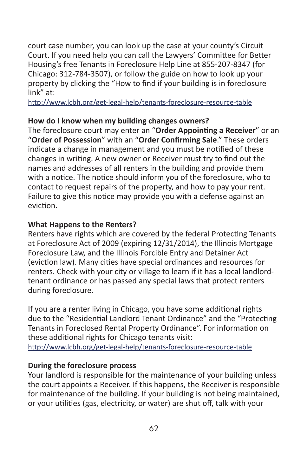court case number, you can look up the case at your county's Circuit Court. If you need help you can call the Lawyers' Committee for Better Housing's free Tenants in Foreclosure Help Line at 855-207-8347 (for Chicago: 312-784-3507), or follow the guide on how to look up your property by clicking the "How to find if your building is in foreclosure link" at:

<http://www.lcbh.org/get-legal-help/tenants-foreclosure-resource-table>

#### **How do I know when my building changes owners?**

The foreclosure court may enter an "**Order Appointing a Receiver**" or an "**Order of Possession**" with an "**Order Confirming Sale**." These orders indicate a change in management and you must be notified of these changes in writing. A new owner or Receiver must try to find out the names and addresses of all renters in the building and provide them with a notice. The notice should inform you of the foreclosure, who to contact to request repairs of the property, and how to pay your rent. Failure to give this notice may provide you with a defense against an eviction.

#### **What Happens to the Renters?**

Renters have rights which are covered by the federal Protecting Tenants at Foreclosure Act of 2009 (expiring 12/31/2014), the Illinois Mortgage Foreclosure Law, and the Illinois Forcible Entry and Detainer Act (eviction law). Many cities have special ordinances and resources for renters. Check with your city or village to learn if it has a local landlordtenant ordinance or has passed any special laws that protect renters during foreclosure.

If you are a renter living in Chicago, you have some additional rights due to the "Residential Landlord Tenant Ordinance" and the "Protecting Tenants in Foreclosed Rental Property Ordinance". For information on these additional rights for Chicago tenants visit: <http://www.lcbh.org/get-legal-help/tenants-foreclosure-resource-table>

## **During the foreclosure process**

Your landlord is responsible for the maintenance of your building unless the court appoints a Receiver. If this happens, the Receiver is responsible for maintenance of the building. If your building is not being maintained, or your utilities (gas, electricity, or water) are shut off, talk with your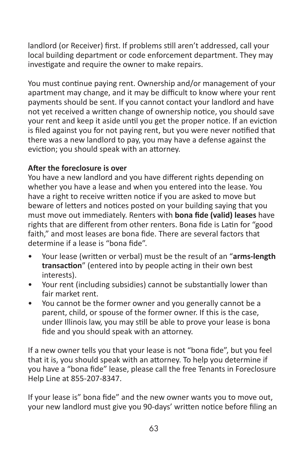landlord (or Receiver) first. If problems still aren't addressed, call your local building department or code enforcement department. They may investigate and require the owner to make repairs.

You must continue paying rent. Ownership and/or management of your apartment may change, and it may be difficult to know where your rent payments should be sent. If you cannot contact your landlord and have not yet received a written change of ownership notice, you should save your rent and keep it aside until you get the proper notice. If an eviction is filed against you for not paying rent, but you were never notified that there was a new landlord to pay, you may have a defense against the eviction; you should speak with an attorney.

## **After the foreclosure is over**

You have a new landlord and you have different rights depending on whether you have a lease and when you entered into the lease. You have a right to receive written notice if you are asked to move but beware of letters and notices posted on your building saying that you must move out immediately. Renters with **bona fide (valid) leases** have rights that are different from other renters. Bona fide is Latin for "good faith," and most leases are bona fide. There are several factors that determine if a lease is "bona fide".

- Your lease (written or verbal) must be the result of an "**arms-length transaction**" (entered into by people acting in their own best interests).
- Your rent (including subsidies) cannot be substantially lower than fair market rent.
- You cannot be the former owner and you generally cannot be a parent, child, or spouse of the former owner. If this is the case, under Illinois law, you may still be able to prove your lease is bona fide and you should speak with an attorney.

If a new owner tells you that your lease is not "bona fide", but you feel that it is, you should speak with an attorney. To help you determine if you have a "bona fide" lease, please call the free Tenants in Foreclosure Help Line at 855-207-8347.

If your lease is" bona fide" and the new owner wants you to move out, your new landlord must give you 90-days' written notice before filing an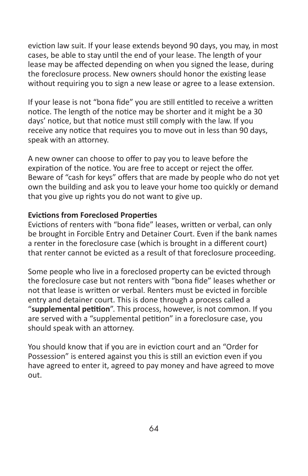eviction law suit. If your lease extends beyond 90 days, you may, in most cases, be able to stay until the end of your lease. The length of your lease may be affected depending on when you signed the lease, during the foreclosure process. New owners should honor the existing lease without requiring you to sign a new lease or agree to a lease extension.

If your lease is not "bona fide" you are still entitled to receive a written notice. The length of the notice may be shorter and it might be a 30 days' notice, but that notice must still comply with the law. If you receive any notice that requires you to move out in less than 90 days, speak with an attorney.

A new owner can choose to offer to pay you to leave before the expiration of the notice. You are free to accept or reject the offer. Beware of "cash for keys" offers that are made by people who do not yet own the building and ask you to leave your home too quickly or demand that you give up rights you do not want to give up.

## **Evictions from Foreclosed Properties**

Evictions of renters with "bona fide" leases, written or verbal, can only be brought in Forcible Entry and Detainer Court. Even if the bank names a renter in the foreclosure case (which is brought in a different court) that renter cannot be evicted as a result of that foreclosure proceeding.

Some people who live in a foreclosed property can be evicted through the foreclosure case but not renters with "bona fide" leases whether or not that lease is written or verbal. Renters must be evicted in forcible entry and detainer court. This is done through a process called a "**supplemental petition**". This process, however, is not common. If you are served with a "supplemental petition" in a foreclosure case, you should speak with an attorney.

You should know that if you are in eviction court and an "Order for Possession" is entered against you this is still an eviction even if you have agreed to enter it, agreed to pay money and have agreed to move out.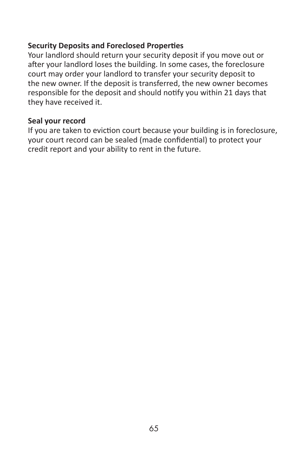## **Security Deposits and Foreclosed Properties**

Your landlord should return your security deposit if you move out or after your landlord loses the building. In some cases, the foreclosure court may order your landlord to transfer your security deposit to the new owner. If the deposit is transferred, the new owner becomes responsible for the deposit and should notify you within 21 days that they have received it.

#### **Seal your record**

If you are taken to eviction court because your building is in foreclosure, your court record can be sealed (made confidential) to protect your credit report and your ability to rent in the future.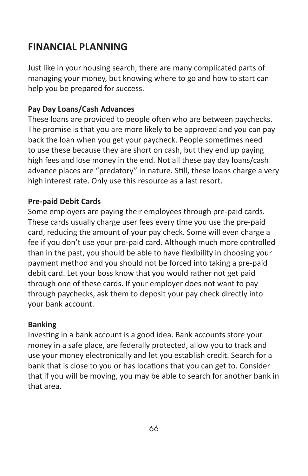# **FINANCIAL PLANNING**

Just like in your housing search, there are many complicated parts of managing your money, but knowing where to go and how to start can help you be prepared for success.

# **Pay Day Loans/Cash Advances**

These loans are provided to people often who are between paychecks. The promise is that you are more likely to be approved and you can pay back the loan when you get your paycheck. People sometimes need to use these because they are short on cash, but they end up paying high fees and lose money in the end. Not all these pay day loans/cash advance places are "predatory" in nature. Still, these loans charge a very high interest rate. Only use this resource as a last resort.

## **Pre-paid Debit Cards**

Some employers are paying their employees through pre-paid cards. These cards usually charge user fees every time you use the pre-paid card, reducing the amount of your pay check. Some will even charge a fee if you don't use your pre-paid card. Although much more controlled than in the past, you should be able to have flexibility in choosing your payment method and you should not be forced into taking a pre-paid debit card. Let your boss know that you would rather not get paid through one of these cards. If your employer does not want to pay through paychecks, ask them to deposit your pay check directly into your bank account.

## **Banking**

Investing in a bank account is a good idea. Bank accounts store your money in a safe place, are federally protected, allow you to track and use your money electronically and let you establish credit. Search for a bank that is close to you or has locations that you can get to. Consider that if you will be moving, you may be able to search for another bank in that area.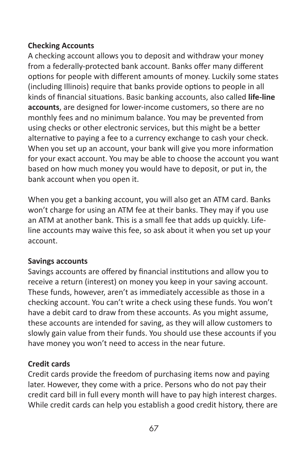## **Checking Accounts**

A checking account allows you to deposit and withdraw your money from a federally-protected bank account. Banks offer many different options for people with different amounts of money. Luckily some states (including Illinois) require that banks provide options to people in all kinds of financial situations. Basic banking accounts, also called **life-line accounts**, are designed for lower-income customers, so there are no monthly fees and no minimum balance. You may be prevented from using checks or other electronic services, but this might be a better alternative to paying a fee to a currency exchange to cash your check. When you set up an account, your bank will give you more information for your exact account. You may be able to choose the account you want based on how much money you would have to deposit, or put in, the bank account when you open it.

When you get a banking account, you will also get an ATM card. Banks won't charge for using an ATM fee at their banks. They may if you use an ATM at another bank. This is a small fee that adds up quickly. Lifeline accounts may waive this fee, so ask about it when you set up your account.

## **Savings accounts**

Savings accounts are offered by financial institutions and allow you to receive a return (interest) on money you keep in your saving account. These funds, however, aren't as immediately accessible as those in a checking account. You can't write a check using these funds. You won't have a debit card to draw from these accounts. As you might assume, these accounts are intended for saving, as they will allow customers to slowly gain value from their funds. You should use these accounts if you have money you won't need to access in the near future.

## **Credit cards**

Credit cards provide the freedom of purchasing items now and paying later. However, they come with a price. Persons who do not pay their credit card bill in full every month will have to pay high interest charges. While credit cards can help you establish a good credit history, there are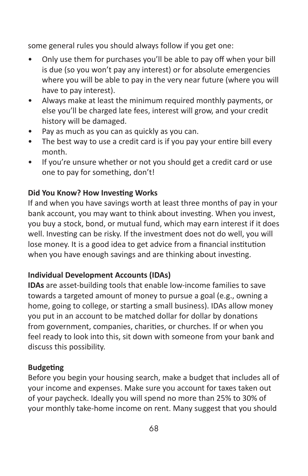some general rules you should always follow if you get one:

- Only use them for purchases you'll be able to pay off when your bill is due (so you won't pay any interest) or for absolute emergencies where you will be able to pay in the very near future (where you will have to pay interest).
- Always make at least the minimum required monthly payments, or else you'll be charged late fees, interest will grow, and your credit history will be damaged.
- Pay as much as you can as quickly as you can.
- The best way to use a credit card is if you pay your entire bill every month.
- If you're unsure whether or not you should get a credit card or use one to pay for something, don't!

## **Did You Know? How Investing Works**

If and when you have savings worth at least three months of pay in your bank account, you may want to think about investing. When you invest, you buy a stock, bond, or mutual fund, which may earn interest if it does well. Investing can be risky. If the investment does not do well, you will lose money. It is a good idea to get advice from a financial institution when you have enough savings and are thinking about investing.

# **Individual Development Accounts (IDAs)**

**IDAs** are asset-building tools that enable low-income families to save towards a targeted amount of money to pursue a goal (e.g., owning a home, going to college, or starting a small business). IDAs allow money you put in an account to be matched dollar for dollar by donations from government, companies, charities, or churches. If or when you feel ready to look into this, sit down with someone from your bank and discuss this possibility.

## **Budgeting**

Before you begin your housing search, make a budget that includes all of your income and expenses. Make sure you account for taxes taken out of your paycheck. Ideally you will spend no more than 25% to 30% of your monthly take-home income on rent. Many suggest that you should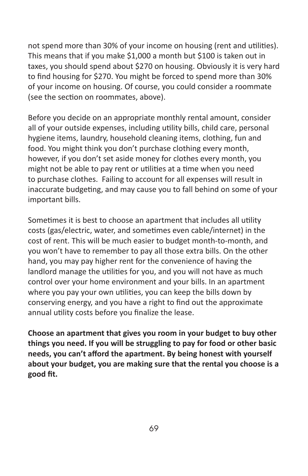not spend more than 30% of your income on housing (rent and utilities). This means that if you make \$1,000 a month but \$100 is taken out in taxes, you should spend about \$270 on housing. Obviously it is very hard to find housing for \$270. You might be forced to spend more than 30% of your income on housing. Of course, you could consider a roommate (see the section on roommates, above).

Before you decide on an appropriate monthly rental amount, consider all of your outside expenses, including utility bills, child care, personal hygiene items, laundry, household cleaning items, clothing, fun and food. You might think you don't purchase clothing every month, however, if you don't set aside money for clothes every month, you might not be able to pay rent or utilities at a time when you need to purchase clothes. Failing to account for all expenses will result in inaccurate budgeting, and may cause you to fall behind on some of your important bills.

Sometimes it is best to choose an apartment that includes all utility costs (gas/electric, water, and sometimes even cable/internet) in the cost of rent. This will be much easier to budget month-to-month, and you won't have to remember to pay all those extra bills. On the other hand, you may pay higher rent for the convenience of having the landlord manage the utilities for you, and you will not have as much control over your home environment and your bills. In an apartment where you pay your own utilities, you can keep the bills down by conserving energy, and you have a right to find out the approximate annual utility costs before you finalize the lease.

**Choose an apartment that gives you room in your budget to buy other things you need. If you will be struggling to pay for food or other basic needs, you can't afford the apartment. By being honest with yourself about your budget, you are making sure that the rental you choose is a good fit.**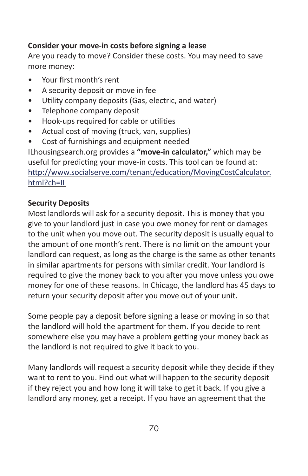## **Consider your move-in costs before signing a lease**

Are you ready to move? Consider these costs. You may need to save more money:

- Your first month's rent
- A security deposit or move in fee
- Utility company deposits (Gas, electric, and water)
- Telephone company deposit
- Hook-ups required for cable or utilities
- Actual cost of moving (truck, van, supplies)
- Cost of furnishings and equipment needed

ILhousingsearch.org provides a **"move-in calculator,"** which may be useful for predicting your move-in costs. This tool can be found at: [http://www.socialserve.com/tenant/education/MovingCostCalculator.](http://www.socialserve.com/tenant/education/MovingCostCalculator.html?ch=IL) [html?ch=IL](http://www.socialserve.com/tenant/education/MovingCostCalculator.html?ch=IL)

# **Security Deposits**

Most landlords will ask for a security deposit. This is money that you give to your landlord just in case you owe money for rent or damages to the unit when you move out. The security deposit is usually equal to the amount of one month's rent. There is no limit on the amount your landlord can request, as long as the charge is the same as other tenants in similar apartments for persons with similar credit. Your landlord is required to give the money back to you after you move unless you owe money for one of these reasons. In Chicago, the landlord has 45 days to return your security deposit after you move out of your unit.

Some people pay a deposit before signing a lease or moving in so that the landlord will hold the apartment for them. If you decide to rent somewhere else you may have a problem getting your money back as the landlord is not required to give it back to you.

Many landlords will request a security deposit while they decide if they want to rent to you. Find out what will happen to the security deposit if they reject you and how long it will take to get it back. If you give a landlord any money, get a receipt. If you have an agreement that the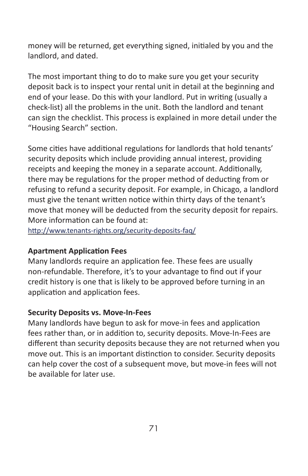money will be returned, get everything signed, initialed by you and the landlord, and dated.

The most important thing to do to make sure you get your security deposit back is to inspect your rental unit in detail at the beginning and end of your lease. Do this with your landlord. Put in writing (usually a check-list) all the problems in the unit. Both the landlord and tenant can sign the checklist. This process is explained in more detail under the "Housing Search" section.

Some cities have additional regulations for landlords that hold tenants' security deposits which include providing annual interest, providing receipts and keeping the money in a separate account. Additionally, there may be regulations for the proper method of deducting from or refusing to refund a security deposit. For example, in Chicago, a landlord must give the tenant written notice within thirty days of the tenant's move that money will be deducted from the security deposit for repairs. More information can be found at:

<http://www.tenants-rights.org/security-deposits-faq/>

## **Apartment Application Fees**

Many landlords require an application fee. These fees are usually non-refundable. Therefore, it's to your advantage to find out if your credit history is one that is likely to be approved before turning in an application and application fees.

## **Security Deposits vs. Move-In-Fees**

Many landlords have begun to ask for move-in fees and application fees rather than, or in addition to, security deposits. Move-In-Fees are different than security deposits because they are not returned when you move out. This is an important distinction to consider. Security deposits can help cover the cost of a subsequent move, but move-in fees will not be available for later use.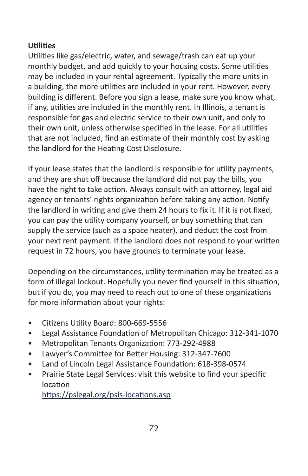# **Utilities**

Utilities like gas/electric, water, and sewage/trash can eat up your monthly budget, and add quickly to your housing costs. Some utilities may be included in your rental agreement. Typically the more units in a building, the more utilities are included in your rent. However, every building is different. Before you sign a lease, make sure you know what, if any, utilities are included in the monthly rent. In Illinois, a tenant is responsible for gas and electric service to their own unit, and only to their own unit, unless otherwise specified in the lease. For all utilities that are not included, find an estimate of their monthly cost by asking the landlord for the Heating Cost Disclosure.

If your lease states that the landlord is responsible for utility payments, and they are shut off because the landlord did not pay the bills, you have the right to take action. Always consult with an attorney, legal aid agency or tenants' rights organization before taking any action. Notify the landlord in writing and give them 24 hours to fix it. If it is not fixed, you can pay the utility company yourself, or buy something that can supply the service (such as a space heater), and deduct the cost from your next rent payment. If the landlord does not respond to your written request in 72 hours, you have grounds to terminate your lease.

Depending on the circumstances, utility termination may be treated as a form of illegal lockout. Hopefully you never find yourself in this situation, but if you do, you may need to reach out to one of these organizations for more information about your rights:

- Citizens Utility Board: 800-669-5556
- Legal Assistance Foundation of Metropolitan Chicago: 312-341-1070
- Metropolitan Tenants Organization: 773-292-4988
- Lawyer's Committee for Better Housing: 312-347-7600
- Land of Lincoln Legal Assistance Foundation: 618-398-0574
- Prairie State Legal Services: visit this website to find your specific location

<https://pslegal.org/psls-locations.asp>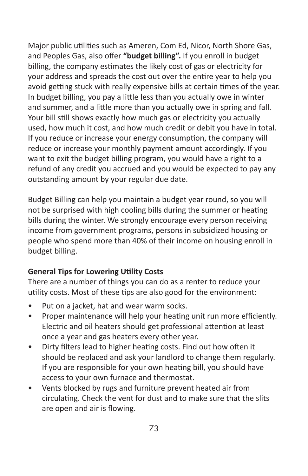Major public utilities such as Ameren, Com Ed, Nicor, North Shore Gas, and Peoples Gas, also offer **"budget billing".** If you enroll in budget billing, the company estimates the likely cost of gas or electricity for your address and spreads the cost out over the entire year to help you avoid getting stuck with really expensive bills at certain times of the year. In budget billing, you pay a little less than you actually owe in winter and summer, and a little more than you actually owe in spring and fall. Your bill still shows exactly how much gas or electricity you actually used, how much it cost, and how much credit or debit you have in total. If you reduce or increase your energy consumption, the company will reduce or increase your monthly payment amount accordingly. If you want to exit the budget billing program, you would have a right to a refund of any credit you accrued and you would be expected to pay any outstanding amount by your regular due date.

Budget Billing can help you maintain a budget year round, so you will not be surprised with high cooling bills during the summer or heating bills during the winter. We strongly encourage every person receiving income from government programs, persons in subsidized housing or people who spend more than 40% of their income on housing enroll in budget billing.

## **General Tips for Lowering Utility Costs**

There are a number of things you can do as a renter to reduce your utility costs. Most of these tips are also good for the environment:

- Put on a jacket, hat and wear warm socks.
- Proper maintenance will help your heating unit run more efficiently. Electric and oil heaters should get professional attention at least once a year and gas heaters every other year.
- Dirty filters lead to higher heating costs. Find out how often it should be replaced and ask your landlord to change them regularly. If you are responsible for your own heating bill, you should have access to your own furnace and thermostat.
- Vents blocked by rugs and furniture prevent heated air from circulating. Check the vent for dust and to make sure that the slits are open and air is flowing.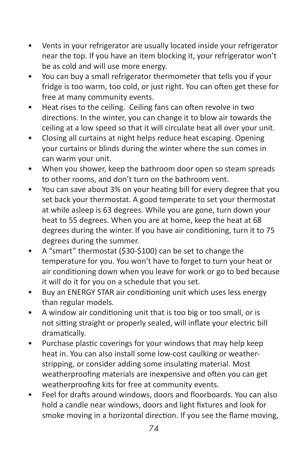- Vents in your refrigerator are usually located inside your refrigerator near the top. If you have an item blocking it, your refrigerator won't be as cold and will use more energy.
- You can buy a small refrigerator thermometer that tells you if your fridge is too warm, too cold, or just right. You can often get these for free at many community events.
- Heat rises to the ceiling. Ceiling fans can often revolve in two directions. In the winter, you can change it to blow air towards the ceiling at a low speed so that it will circulate heat all over your unit.
- Closing all curtains at night helps reduce heat escaping. Opening your curtains or blinds during the winter where the sun comes in can warm your unit.
- When you shower, keep the bathroom door open so steam spreads to other rooms, and don't turn on the bathroom vent.
- You can save about 3% on your heating bill for every degree that you set back your thermostat. A good temperate to set your thermostat at while asleep is 63 degrees. While you are gone, turn down your heat to 55 degrees. When you are at home, keep the heat at 68 degrees during the winter. If you have air conditioning, turn it to 75 degrees during the summer.
- A "smart" thermostat (\$30-\$100) can be set to change the temperature for you. You won't have to forget to turn your heat or air conditioning down when you leave for work or go to bed because it will do it for you on a schedule that you set.
- Buy an ENERGY STAR air conditioning unit which uses less energy than regular models.
- A window air conditioning unit that is too big or too small, or is not sitting straight or properly sealed, will inflate your electric bill dramatically.
- Purchase plastic coverings for your windows that may help keep heat in. You can also install some low-cost caulking or weatherstripping, or consider adding some insulating material. Most weatherproofing materials are inexpensive and often you can get weatherproofing kits for free at community events.
- Feel for drafts around windows, doors and floorboards. You can also hold a candle near windows, doors and light fixtures and look for smoke moving in a horizontal direction. If you see the flame moving,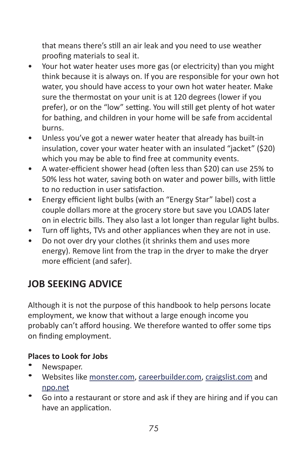that means there's still an air leak and you need to use weather proofing materials to seal it.

- Your hot water heater uses more gas (or electricity) than you might think because it is always on. If you are responsible for your own hot water, you should have access to your own hot water heater. Make sure the thermostat on your unit is at 120 degrees (lower if you prefer), or on the "low" setting. You will still get plenty of hot water for bathing, and children in your home will be safe from accidental burns.
- Unless you've got a newer water heater that already has built-in insulation, cover your water heater with an insulated "jacket" (\$20) which you may be able to find free at community events.
- A water-efficient shower head (often less than \$20) can use 25% to 50% less hot water, saving both on water and power bills, with little to no reduction in user satisfaction.
- Energy efficient light bulbs (with an "Energy Star" label) cost a couple dollars more at the grocery store but save you LOADS later on in electric bills. They also last a lot longer than regular light bulbs.
- Turn off lights, TVs and other appliances when they are not in use.
- Do not over dry your clothes (it shrinks them and uses more energy). Remove lint from the trap in the dryer to make the dryer more efficient (and safer).

## **JOB SEEKING ADVICE**

Although it is not the purpose of this handbook to help persons locate employment, we know that without a large enough income you probably can't afford housing. We therefore wanted to offer some tips on finding employment.

## **Places to Look for Jobs**

- Newspaper.
- Websites like [monster.com](http://www.monster.com), [careerbuilder.com](http://www.careerbuilder.com), [craigslist.com](http://www.craigslist.com) and [npo.net](http://www.npo.net)
- Go into a restaurant or store and ask if they are hiring and if you can have an application.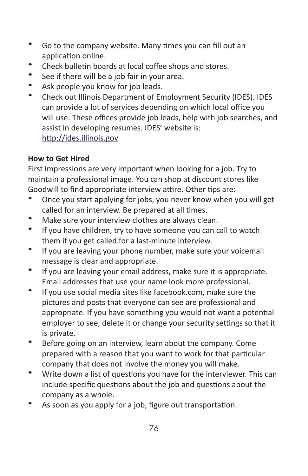- Go to the company website. Many times you can fill out an application online.
- Check bulletin boards at local coffee shops and stores.
- See if there will be a job fair in your area.
- Ask people you know for job leads.
- Check out Illinois Department of Employment Security (IDES). IDES can provide a lot of services depending on which local office you will use. These offices provide job leads, help with job searches, and assist in developing resumes. IDES' website is: <http://ides.illinois.gov>

#### **How to Get Hired**

First impressions are very important when looking for a job. Try to maintain a professional image. You can shop at discount stores like Goodwill to find appropriate interview attire. Other tips are:

- Once you start applying for jobs, you never know when you will get called for an interview. Be prepared at all times.
- Make sure your interview clothes are always clean.
- If you have children, try to have someone you can call to watch them if you get called for a last-minute interview.
- If you are leaving your phone number, make sure your voicemail message is clear and appropriate.
- If you are leaving your email address, make sure it is appropriate. Email addresses that use your name look more professional.
- If you use social media sites like facebook.com, make sure the pictures and posts that everyone can see are professional and appropriate. If you have something you would not want a potential employer to see, delete it or change your security settings so that it is private.
- Before going on an interview, learn about the company. Come prepared with a reason that you want to work for that particular company that does not involve the money you will make.
- Write down a list of questions you have for the interviewer. This can include specific questions about the job and questions about the company as a whole.
- As soon as you apply for a job, figure out transportation.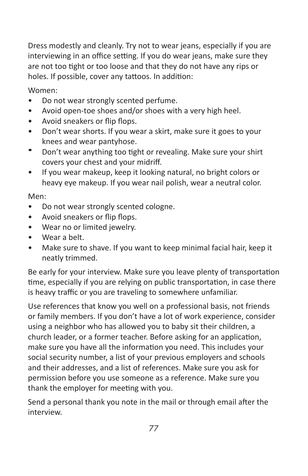Dress modestly and cleanly. Try not to wear jeans, especially if you are interviewing in an office setting. If you do wear jeans, make sure they are not too tight or too loose and that they do not have any rips or holes. If possible, cover any tattoos. In addition:

Women:

- Do not wear strongly scented perfume.
- Avoid open-toe shoes and/or shoes with a very high heel.
- Avoid sneakers or flip flops.
- Don't wear shorts. If you wear a skirt, make sure it goes to your knees and wear pantyhose.
- Don't wear anything too tight or revealing. Make sure your shirt covers your chest and your midriff.
- If you wear makeup, keep it looking natural, no bright colors or heavy eye makeup. If you wear nail polish, wear a neutral color.

Men:

- Do not wear strongly scented cologne.
- Avoid sneakers or flip flops.
- Wear no or limited jewelry.
- Wear a belt.
- Make sure to shave. If you want to keep minimal facial hair, keep it neatly trimmed.

Be early for your interview. Make sure you leave plenty of transportation time, especially if you are relying on public transportation, in case there is heavy traffic or you are traveling to somewhere unfamiliar.

Use references that know you well on a professional basis, not friends or family members. If you don't have a lot of work experience, consider using a neighbor who has allowed you to baby sit their children, a church leader, or a former teacher. Before asking for an application, make sure you have all the information you need. This includes your social security number, a list of your previous employers and schools and their addresses, and a list of references. Make sure you ask for permission before you use someone as a reference. Make sure you thank the employer for meeting with you.

Send a personal thank you note in the mail or through email after the interview.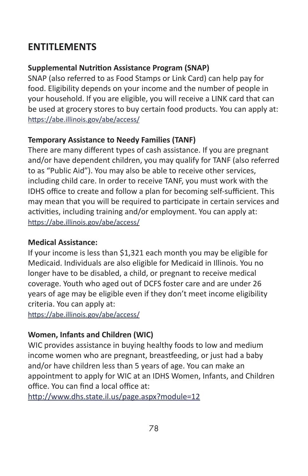## **ENTITLEMENTS**

## **Supplemental Nutrition Assistance Program (SNAP)**

SNAP (also referred to as Food Stamps or Link Card) can help pay for food. Eligibility depends on your income and the number of people in your household. If you are eligible, you will receive a LINK card that can be used at grocery stores to buy certain food products. You can apply at: <https://abe.illinois.gov/abe/access/>

## **Temporary Assistance to Needy Families (TANF)**

There are many different types of cash assistance. If you are pregnant and/or have dependent children, you may qualify for TANF (also referred to as "Public Aid"). You may also be able to receive other services, including child care. In order to receive TANF, you must work with the IDHS office to create and follow a plan for becoming self-sufficient. This may mean that you will be required to participate in certain services and activities, including training and/or employment. You can apply at: <https://abe.illinois.gov/abe/access/>

#### **Medical Assistance:**

If your income is less than \$1,321 each month you may be eligible for Medicaid. Individuals are also eligible for Medicaid in Illinois. You no longer have to be disabled, a child, or pregnant to receive medical coverage. Youth who aged out of DCFS foster care and are under 26 years of age may be eligible even if they don't meet income eligibility criteria. You can apply at:

<https://abe.illinois.gov/abe/access/>

## **Women, Infants and Children (WIC)**

WIC provides assistance in buying healthy foods to low and medium income women who are pregnant, breastfeeding, or just had a baby and/or have children less than 5 years of age. You can make an appointment to apply for WIC at an IDHS Women, Infants, and Children office. You can find a local office at:

<http://www.dhs.state.il.us/page.aspx?module=12>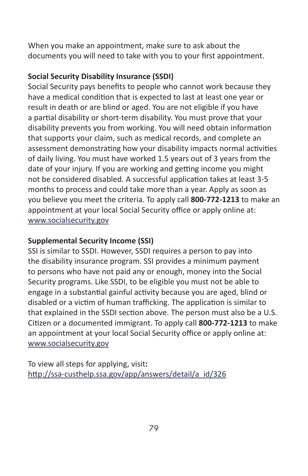When you make an appointment, make sure to ask about the documents you will need to take with you to your first appointment.

## **Social Security Disability Insurance (SSDI)**

Social Security pays benefits to people who cannot work because they have a medical condition that is expected to last at least one year or result in death or are blind or aged. You are not eligible if you have a partial disability or short-term disability. You must prove that your disability prevents you from working. You will need obtain information that supports your claim, such as medical records, and complete an assessment demonstrating how your disability impacts normal activities of daily living. You must have worked 1.5 years out of 3 years from the date of your injury. If you are working and getting income you might not be considered disabled. A successful application takes at least 3-5 months to process and could take more than a year. Apply as soon as you believe you meet the criteria. To apply call **800-772-1213** to make an appointment at your local Social Security office or apply online at: [www.socialsecurity.gov](http://www.socialsecurity.gov)

## **Supplemental Security Income (SSI)**

SSI is similar to SSDI. However, SSDI requires a person to pay into the disability insurance program. SSI provides a minimum payment to persons who have not paid any or enough, money into the Social Security programs. Like SSDI, to be eligible you must not be able to engage in a substantial gainful activity because you are aged, blind or disabled or a victim of human trafficking. The application is similar to that explained in the SSDI section above. The person must also be a U.S. Citizen or a documented immigrant. To apply call **800-772-1213** to make an appointment at your local Social Security office or apply online at: [www.socialsecurity.gov](http://www.socialsecurity.gov)

To view all steps for applying, visit**:** http://ssa-custhelp.ssa.gov/app/answers/detail/a\_id/326